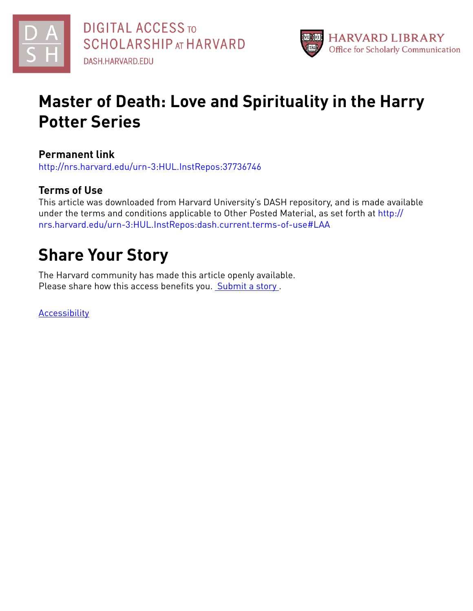



## **Master of Death: Love and Spirituality in the Harry Potter Series**

**Permanent link**

<http://nrs.harvard.edu/urn-3:HUL.InstRepos:37736746>

### **Terms of Use**

This article was downloaded from Harvard University's DASH repository, and is made available under the terms and conditions applicable to Other Posted Material, as set forth at [http://](http://nrs.harvard.edu/urn-3:HUL.InstRepos:dash.current.terms-of-use#LAA) [nrs.harvard.edu/urn-3:HUL.InstRepos:dash.current.terms-of-use#LAA](http://nrs.harvard.edu/urn-3:HUL.InstRepos:dash.current.terms-of-use#LAA)

# **Share Your Story**

The Harvard community has made this article openly available. Please share how this access benefits you. [Submit](http://osc.hul.harvard.edu/dash/open-access-feedback?handle=&title=Master%20of%20Death:%20Love%20and%20Spirituality%20in%20the%20Harry%20Potter%20Series&community=1/14557738&collection=1/14557739&owningCollection1/14557739&harvardAuthors=2e682af6234fa1ae87dbc7864d34ba78&department) a story.

[Accessibility](https://dash.harvard.edu/pages/accessibility)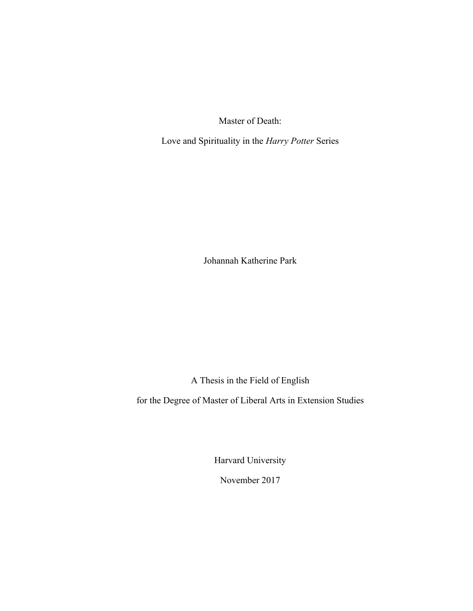Master of Death:

Love and Spirituality in the *Harry Potter* Series

Johannah Katherine Park

A Thesis in the Field of English

for the Degree of Master of Liberal Arts in Extension Studies

Harvard University

November 2017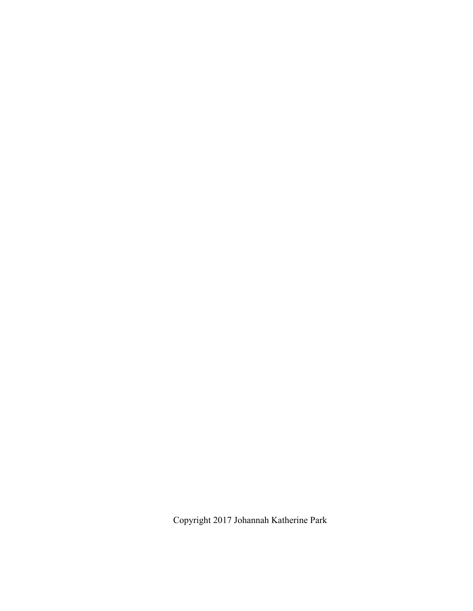Copyright 2017 Johannah Katherine Park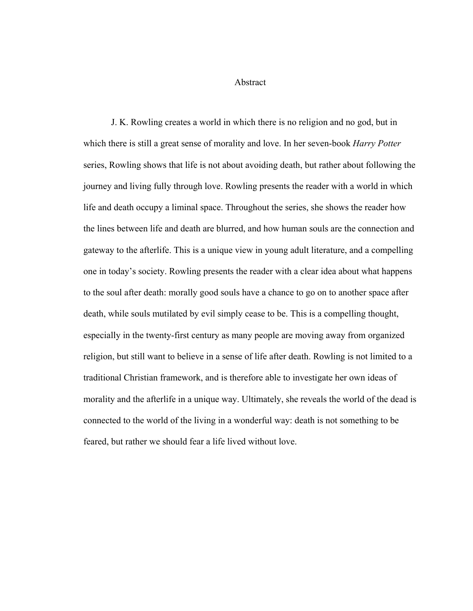Abstract

J. K. Rowling creates a world in which there is no religion and no god, but in which there is still a great sense of morality and love. In her seven-book *Harry Potter* series, Rowling shows that life is not about avoiding death, but rather about following the journey and living fully through love. Rowling presents the reader with a world in which life and death occupy a liminal space. Throughout the series, she shows the reader how the lines between life and death are blurred, and how human souls are the connection and gateway to the afterlife. This is a unique view in young adult literature, and a compelling one in today's society. Rowling presents the reader with a clear idea about what happens to the soul after death: morally good souls have a chance to go on to another space after death, while souls mutilated by evil simply cease to be. This is a compelling thought, especially in the twenty-first century as many people are moving away from organized religion, but still want to believe in a sense of life after death. Rowling is not limited to a traditional Christian framework, and is therefore able to investigate her own ideas of morality and the afterlife in a unique way. Ultimately, she reveals the world of the dead is connected to the world of the living in a wonderful way: death is not something to be feared, but rather we should fear a life lived without love.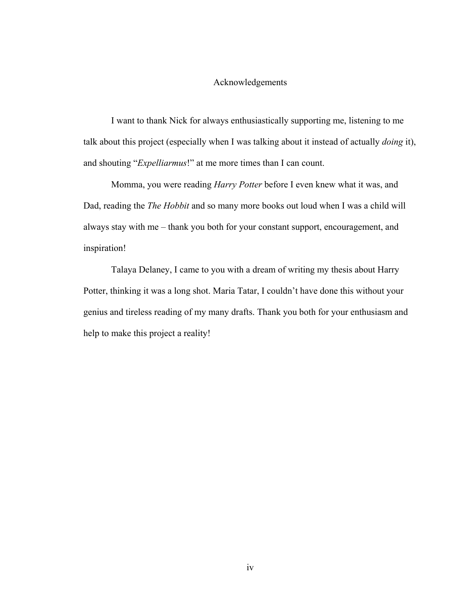#### Acknowledgements

I want to thank Nick for always enthusiastically supporting me, listening to me talk about this project (especially when I was talking about it instead of actually *doing* it), and shouting "*Expelliarmus*!" at me more times than I can count.

Momma, you were reading *Harry Potter* before I even knew what it was, and Dad, reading the *The Hobbit* and so many more books out loud when I was a child will always stay with me – thank you both for your constant support, encouragement, and inspiration!

Talaya Delaney, I came to you with a dream of writing my thesis about Harry Potter, thinking it was a long shot. Maria Tatar, I couldn't have done this without your genius and tireless reading of my many drafts. Thank you both for your enthusiasm and help to make this project a reality!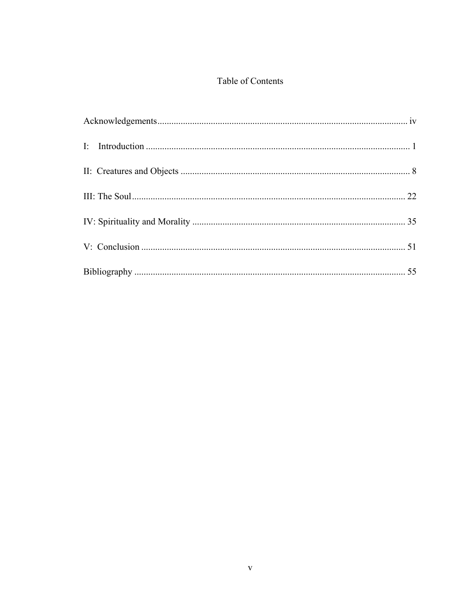#### Table of Contents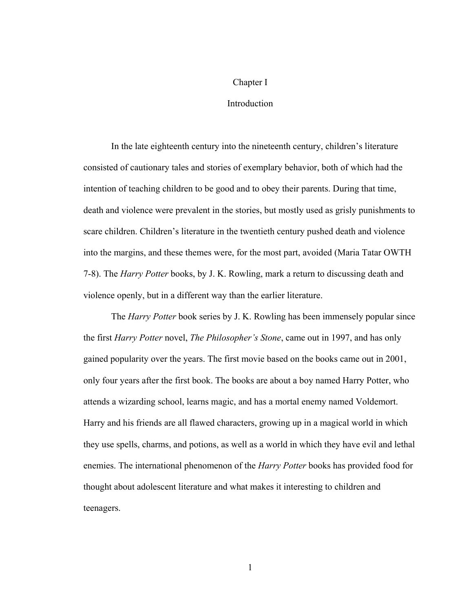#### Chapter I

#### **Introduction**

In the late eighteenth century into the nineteenth century, children's literature consisted of cautionary tales and stories of exemplary behavior, both of which had the intention of teaching children to be good and to obey their parents. During that time, death and violence were prevalent in the stories, but mostly used as grisly punishments to scare children. Children's literature in the twentieth century pushed death and violence into the margins, and these themes were, for the most part, avoided (Maria Tatar OWTH 7-8). The *Harry Potter* books, by J. K. Rowling, mark a return to discussing death and violence openly, but in a different way than the earlier literature.

The *Harry Potter* book series by J. K. Rowling has been immensely popular since the first *Harry Potter* novel, *The Philosopher's Stone*, came out in 1997, and has only gained popularity over the years. The first movie based on the books came out in 2001, only four years after the first book. The books are about a boy named Harry Potter, who attends a wizarding school, learns magic, and has a mortal enemy named Voldemort. Harry and his friends are all flawed characters, growing up in a magical world in which they use spells, charms, and potions, as well as a world in which they have evil and lethal enemies. The international phenomenon of the *Harry Potter* books has provided food for thought about adolescent literature and what makes it interesting to children and teenagers.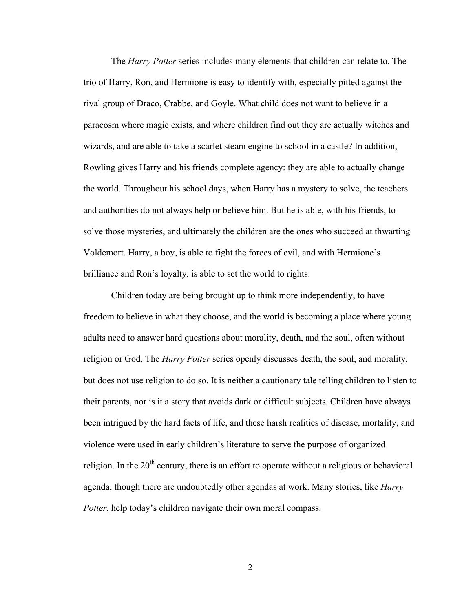The *Harry Potter* series includes many elements that children can relate to. The trio of Harry, Ron, and Hermione is easy to identify with, especially pitted against the rival group of Draco, Crabbe, and Goyle. What child does not want to believe in a paracosm where magic exists, and where children find out they are actually witches and wizards, and are able to take a scarlet steam engine to school in a castle? In addition, Rowling gives Harry and his friends complete agency: they are able to actually change the world. Throughout his school days, when Harry has a mystery to solve, the teachers and authorities do not always help or believe him. But he is able, with his friends, to solve those mysteries, and ultimately the children are the ones who succeed at thwarting Voldemort. Harry, a boy, is able to fight the forces of evil, and with Hermione's brilliance and Ron's loyalty, is able to set the world to rights.

Children today are being brought up to think more independently, to have freedom to believe in what they choose, and the world is becoming a place where young adults need to answer hard questions about morality, death, and the soul, often without religion or God. The *Harry Potter* series openly discusses death, the soul, and morality, but does not use religion to do so. It is neither a cautionary tale telling children to listen to their parents, nor is it a story that avoids dark or difficult subjects. Children have always been intrigued by the hard facts of life, and these harsh realities of disease, mortality, and violence were used in early children's literature to serve the purpose of organized religion. In the  $20<sup>th</sup>$  century, there is an effort to operate without a religious or behavioral agenda, though there are undoubtedly other agendas at work. Many stories, like *Harry Potter*, help today's children navigate their own moral compass.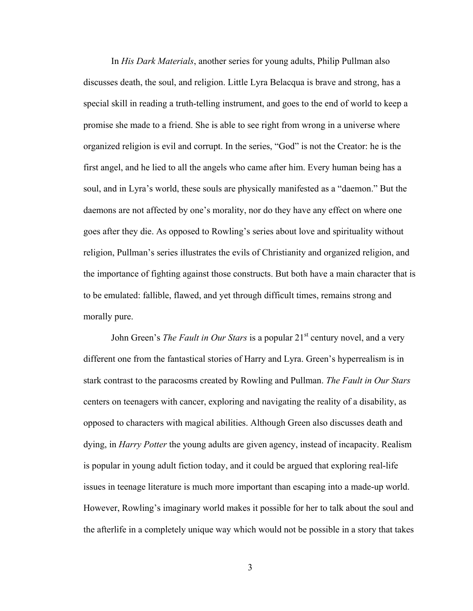In *His Dark Materials*, another series for young adults, Philip Pullman also discusses death, the soul, and religion. Little Lyra Belacqua is brave and strong, has a special skill in reading a truth-telling instrument, and goes to the end of world to keep a promise she made to a friend. She is able to see right from wrong in a universe where organized religion is evil and corrupt. In the series, "God" is not the Creator: he is the first angel, and he lied to all the angels who came after him. Every human being has a soul, and in Lyra's world, these souls are physically manifested as a "daemon." But the daemons are not affected by one's morality, nor do they have any effect on where one goes after they die. As opposed to Rowling's series about love and spirituality without religion, Pullman's series illustrates the evils of Christianity and organized religion, and the importance of fighting against those constructs. But both have a main character that is to be emulated: fallible, flawed, and yet through difficult times, remains strong and morally pure.

John Green's *The Fault in Our Stars* is a popular 21<sup>st</sup> century novel, and a very different one from the fantastical stories of Harry and Lyra. Green's hyperrealism is in stark contrast to the paracosms created by Rowling and Pullman. *The Fault in Our Stars* centers on teenagers with cancer, exploring and navigating the reality of a disability, as opposed to characters with magical abilities. Although Green also discusses death and dying, in *Harry Potter* the young adults are given agency, instead of incapacity. Realism is popular in young adult fiction today, and it could be argued that exploring real-life issues in teenage literature is much more important than escaping into a made-up world. However, Rowling's imaginary world makes it possible for her to talk about the soul and the afterlife in a completely unique way which would not be possible in a story that takes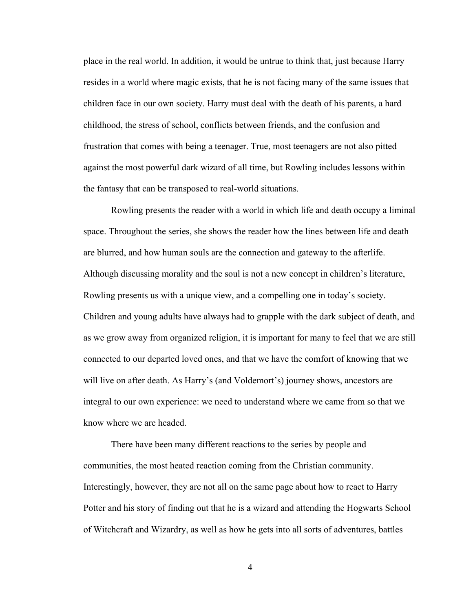place in the real world. In addition, it would be untrue to think that, just because Harry resides in a world where magic exists, that he is not facing many of the same issues that children face in our own society. Harry must deal with the death of his parents, a hard childhood, the stress of school, conflicts between friends, and the confusion and frustration that comes with being a teenager. True, most teenagers are not also pitted against the most powerful dark wizard of all time, but Rowling includes lessons within the fantasy that can be transposed to real-world situations.

Rowling presents the reader with a world in which life and death occupy a liminal space. Throughout the series, she shows the reader how the lines between life and death are blurred, and how human souls are the connection and gateway to the afterlife. Although discussing morality and the soul is not a new concept in children's literature, Rowling presents us with a unique view, and a compelling one in today's society. Children and young adults have always had to grapple with the dark subject of death, and as we grow away from organized religion, it is important for many to feel that we are still connected to our departed loved ones, and that we have the comfort of knowing that we will live on after death. As Harry's (and Voldemort's) journey shows, ancestors are integral to our own experience: we need to understand where we came from so that we know where we are headed.

There have been many different reactions to the series by people and communities, the most heated reaction coming from the Christian community. Interestingly, however, they are not all on the same page about how to react to Harry Potter and his story of finding out that he is a wizard and attending the Hogwarts School of Witchcraft and Wizardry, as well as how he gets into all sorts of adventures, battles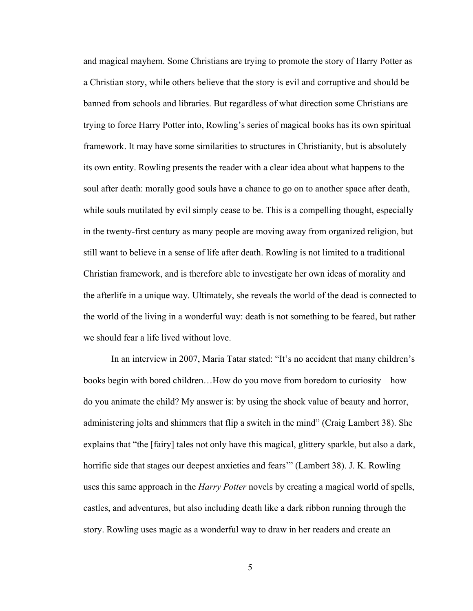and magical mayhem. Some Christians are trying to promote the story of Harry Potter as a Christian story, while others believe that the story is evil and corruptive and should be banned from schools and libraries. But regardless of what direction some Christians are trying to force Harry Potter into, Rowling's series of magical books has its own spiritual framework. It may have some similarities to structures in Christianity, but is absolutely its own entity. Rowling presents the reader with a clear idea about what happens to the soul after death: morally good souls have a chance to go on to another space after death, while souls mutilated by evil simply cease to be. This is a compelling thought, especially in the twenty-first century as many people are moving away from organized religion, but still want to believe in a sense of life after death. Rowling is not limited to a traditional Christian framework, and is therefore able to investigate her own ideas of morality and the afterlife in a unique way. Ultimately, she reveals the world of the dead is connected to the world of the living in a wonderful way: death is not something to be feared, but rather we should fear a life lived without love.

In an interview in 2007, Maria Tatar stated: "It's no accident that many children's books begin with bored children…How do you move from boredom to curiosity – how do you animate the child? My answer is: by using the shock value of beauty and horror, administering jolts and shimmers that flip a switch in the mind" (Craig Lambert 38). She explains that "the [fairy] tales not only have this magical, glittery sparkle, but also a dark, horrific side that stages our deepest anxieties and fears'" (Lambert 38). J. K. Rowling uses this same approach in the *Harry Potter* novels by creating a magical world of spells, castles, and adventures, but also including death like a dark ribbon running through the story. Rowling uses magic as a wonderful way to draw in her readers and create an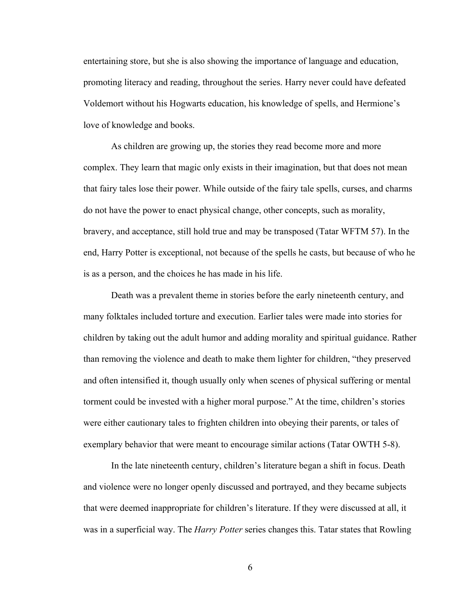entertaining store, but she is also showing the importance of language and education, promoting literacy and reading, throughout the series. Harry never could have defeated Voldemort without his Hogwarts education, his knowledge of spells, and Hermione's love of knowledge and books.

As children are growing up, the stories they read become more and more complex. They learn that magic only exists in their imagination, but that does not mean that fairy tales lose their power. While outside of the fairy tale spells, curses, and charms do not have the power to enact physical change, other concepts, such as morality, bravery, and acceptance, still hold true and may be transposed (Tatar WFTM 57). In the end, Harry Potter is exceptional, not because of the spells he casts, but because of who he is as a person, and the choices he has made in his life.

Death was a prevalent theme in stories before the early nineteenth century, and many folktales included torture and execution. Earlier tales were made into stories for children by taking out the adult humor and adding morality and spiritual guidance. Rather than removing the violence and death to make them lighter for children, "they preserved and often intensified it, though usually only when scenes of physical suffering or mental torment could be invested with a higher moral purpose." At the time, children's stories were either cautionary tales to frighten children into obeying their parents, or tales of exemplary behavior that were meant to encourage similar actions (Tatar OWTH 5-8).

In the late nineteenth century, children's literature began a shift in focus. Death and violence were no longer openly discussed and portrayed, and they became subjects that were deemed inappropriate for children's literature. If they were discussed at all, it was in a superficial way. The *Harry Potter* series changes this. Tatar states that Rowling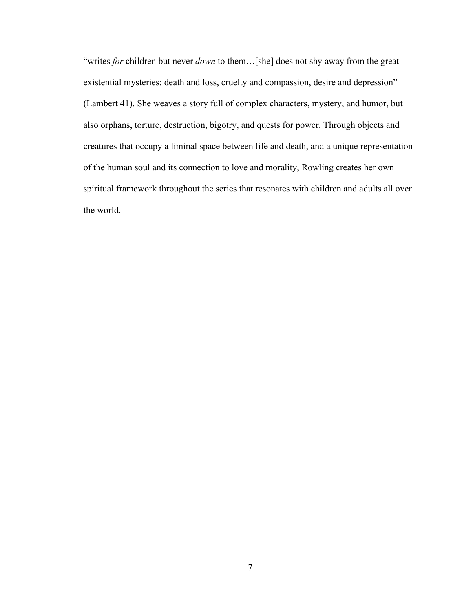"writes *for* children but never *down* to them…[she] does not shy away from the great existential mysteries: death and loss, cruelty and compassion, desire and depression" (Lambert 41). She weaves a story full of complex characters, mystery, and humor, but also orphans, torture, destruction, bigotry, and quests for power. Through objects and creatures that occupy a liminal space between life and death, and a unique representation of the human soul and its connection to love and morality, Rowling creates her own spiritual framework throughout the series that resonates with children and adults all over the world.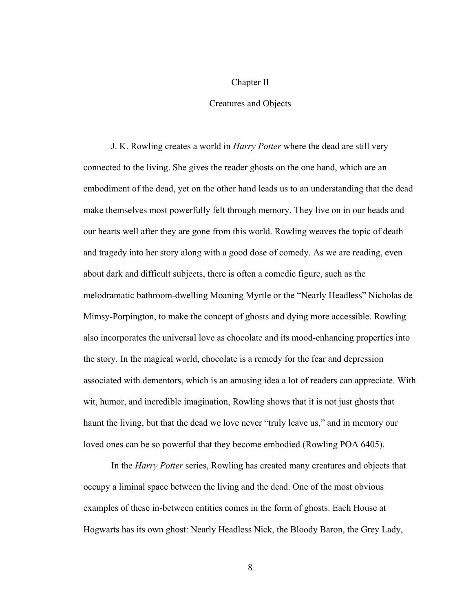#### Chapter II

#### Creatures and Objects

J. K. Rowling creates a world in *Harry Potter* where the dead are still very connected to the living. She gives the reader ghosts on the one hand, which are an embodiment of the dead, yet on the other hand leads us to an understanding that the dead make themselves most powerfully felt through memory. They live on in our heads and our hearts well after they are gone from this world. Rowling weaves the topic of death and tragedy into her story along with a good dose of comedy. As we are reading, even about dark and difficult subjects, there is often a comedic figure, such as the melodramatic bathroom-dwelling Moaning Myrtle or the "Nearly Headless" Nicholas de Mimsy-Porpington, to make the concept of ghosts and dying more accessible. Rowling also incorporates the universal love as chocolate and its mood-enhancing properties into the story. In the magical world, chocolate is a remedy for the fear and depression associated with dementors, which is an amusing idea a lot of readers can appreciate. With wit, humor, and incredible imagination, Rowling shows that it is not just ghosts that haunt the living, but that the dead we love never "truly leave us," and in memory our loved ones can be so powerful that they become embodied (Rowling POA 6405).

In the *Harry Potter* series, Rowling has created many creatures and objects that occupy a liminal space between the living and the dead. One of the most obvious examples of these in-between entities comes in the form of ghosts. Each House at Hogwarts has its own ghost: Nearly Headless Nick, the Bloody Baron, the Grey Lady,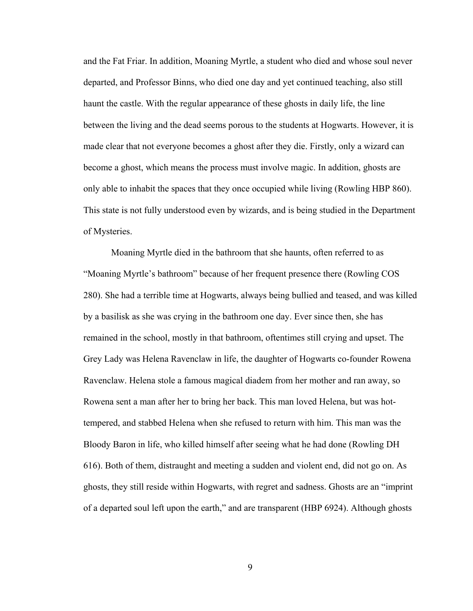and the Fat Friar. In addition, Moaning Myrtle, a student who died and whose soul never departed, and Professor Binns, who died one day and yet continued teaching, also still haunt the castle. With the regular appearance of these ghosts in daily life, the line between the living and the dead seems porous to the students at Hogwarts. However, it is made clear that not everyone becomes a ghost after they die. Firstly, only a wizard can become a ghost, which means the process must involve magic. In addition, ghosts are only able to inhabit the spaces that they once occupied while living (Rowling HBP 860). This state is not fully understood even by wizards, and is being studied in the Department of Mysteries.

Moaning Myrtle died in the bathroom that she haunts, often referred to as "Moaning Myrtle's bathroom" because of her frequent presence there (Rowling COS 280). She had a terrible time at Hogwarts, always being bullied and teased, and was killed by a basilisk as she was crying in the bathroom one day. Ever since then, she has remained in the school, mostly in that bathroom, oftentimes still crying and upset. The Grey Lady was Helena Ravenclaw in life, the daughter of Hogwarts co-founder Rowena Ravenclaw. Helena stole a famous magical diadem from her mother and ran away, so Rowena sent a man after her to bring her back. This man loved Helena, but was hottempered, and stabbed Helena when she refused to return with him. This man was the Bloody Baron in life, who killed himself after seeing what he had done (Rowling DH 616). Both of them, distraught and meeting a sudden and violent end, did not go on. As ghosts, they still reside within Hogwarts, with regret and sadness. Ghosts are an "imprint of a departed soul left upon the earth," and are transparent (HBP 6924). Although ghosts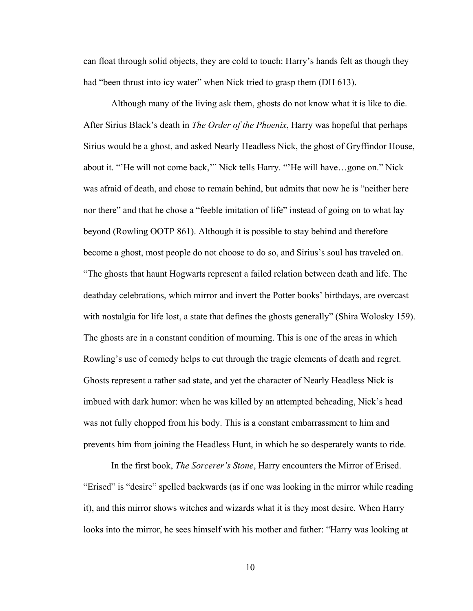can float through solid objects, they are cold to touch: Harry's hands felt as though they had "been thrust into icy water" when Nick tried to grasp them (DH 613).

Although many of the living ask them, ghosts do not know what it is like to die. After Sirius Black's death in *The Order of the Phoenix*, Harry was hopeful that perhaps Sirius would be a ghost, and asked Nearly Headless Nick, the ghost of Gryffindor House, about it. "'He will not come back,'" Nick tells Harry. "'He will have…gone on." Nick was afraid of death, and chose to remain behind, but admits that now he is "neither here nor there" and that he chose a "feeble imitation of life" instead of going on to what lay beyond (Rowling OOTP 861). Although it is possible to stay behind and therefore become a ghost, most people do not choose to do so, and Sirius's soul has traveled on. "The ghosts that haunt Hogwarts represent a failed relation between death and life. The deathday celebrations, which mirror and invert the Potter books' birthdays, are overcast with nostalgia for life lost, a state that defines the ghosts generally" (Shira Wolosky 159). The ghosts are in a constant condition of mourning. This is one of the areas in which Rowling's use of comedy helps to cut through the tragic elements of death and regret. Ghosts represent a rather sad state, and yet the character of Nearly Headless Nick is imbued with dark humor: when he was killed by an attempted beheading, Nick's head was not fully chopped from his body. This is a constant embarrassment to him and prevents him from joining the Headless Hunt, in which he so desperately wants to ride.

In the first book, *The Sorcerer's Stone*, Harry encounters the Mirror of Erised. "Erised" is "desire" spelled backwards (as if one was looking in the mirror while reading it), and this mirror shows witches and wizards what it is they most desire. When Harry looks into the mirror, he sees himself with his mother and father: "Harry was looking at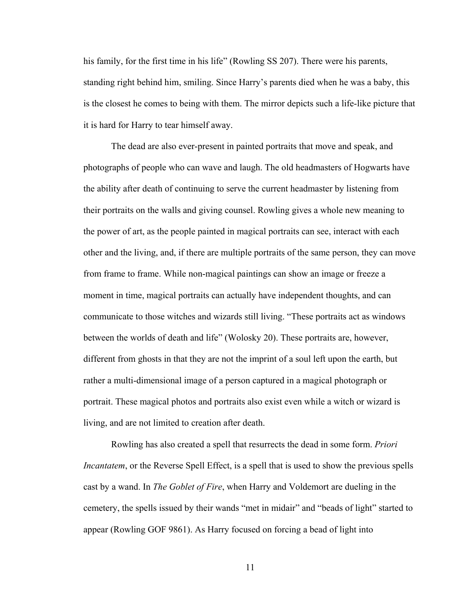his family, for the first time in his life" (Rowling SS 207). There were his parents, standing right behind him, smiling. Since Harry's parents died when he was a baby, this is the closest he comes to being with them. The mirror depicts such a life-like picture that it is hard for Harry to tear himself away.

The dead are also ever-present in painted portraits that move and speak, and photographs of people who can wave and laugh. The old headmasters of Hogwarts have the ability after death of continuing to serve the current headmaster by listening from their portraits on the walls and giving counsel. Rowling gives a whole new meaning to the power of art, as the people painted in magical portraits can see, interact with each other and the living, and, if there are multiple portraits of the same person, they can move from frame to frame. While non-magical paintings can show an image or freeze a moment in time, magical portraits can actually have independent thoughts, and can communicate to those witches and wizards still living. "These portraits act as windows between the worlds of death and life" (Wolosky 20). These portraits are, however, different from ghosts in that they are not the imprint of a soul left upon the earth, but rather a multi-dimensional image of a person captured in a magical photograph or portrait. These magical photos and portraits also exist even while a witch or wizard is living, and are not limited to creation after death.

Rowling has also created a spell that resurrects the dead in some form. *Priori Incantatem*, or the Reverse Spell Effect, is a spell that is used to show the previous spells cast by a wand. In *The Goblet of Fire*, when Harry and Voldemort are dueling in the cemetery, the spells issued by their wands "met in midair" and "beads of light" started to appear (Rowling GOF 9861). As Harry focused on forcing a bead of light into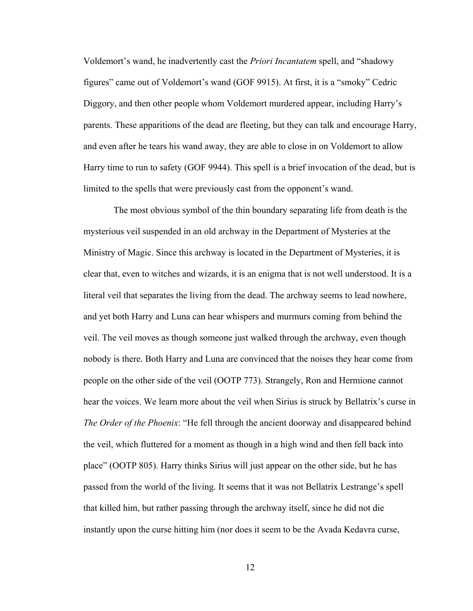Voldemort's wand, he inadvertently cast the *Priori Incantatem* spell, and "shadowy figures" came out of Voldemort's wand (GOF 9915). At first, it is a "smoky" Cedric Diggory, and then other people whom Voldemort murdered appear, including Harry's parents. These apparitions of the dead are fleeting, but they can talk and encourage Harry, and even after he tears his wand away, they are able to close in on Voldemort to allow Harry time to run to safety (GOF 9944). This spell is a brief invocation of the dead, but is limited to the spells that were previously cast from the opponent's wand.

 The most obvious symbol of the thin boundary separating life from death is the mysterious veil suspended in an old archway in the Department of Mysteries at the Ministry of Magic. Since this archway is located in the Department of Mysteries, it is clear that, even to witches and wizards, it is an enigma that is not well understood. It is a literal veil that separates the living from the dead. The archway seems to lead nowhere, and yet both Harry and Luna can hear whispers and murmurs coming from behind the veil. The veil moves as though someone just walked through the archway, even though nobody is there. Both Harry and Luna are convinced that the noises they hear come from people on the other side of the veil (OOTP 773). Strangely, Ron and Hermione cannot hear the voices. We learn more about the veil when Sirius is struck by Bellatrix's curse in *The Order of the Phoenix*: "He fell through the ancient doorway and disappeared behind the veil, which fluttered for a moment as though in a high wind and then fell back into place" (OOTP 805). Harry thinks Sirius will just appear on the other side, but he has passed from the world of the living. It seems that it was not Bellatrix Lestrange's spell that killed him, but rather passing through the archway itself, since he did not die instantly upon the curse hitting him (nor does it seem to be the Avada Kedavra curse,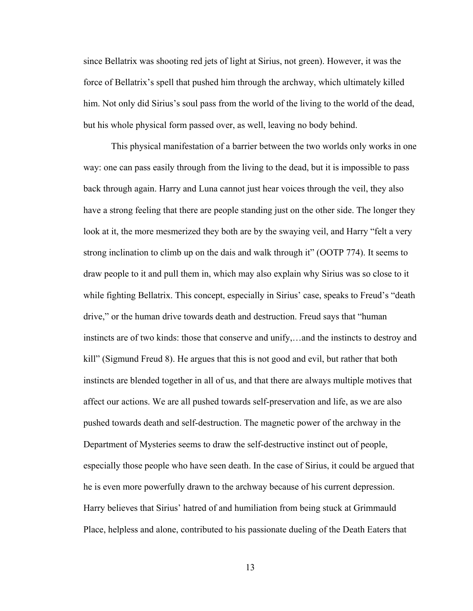since Bellatrix was shooting red jets of light at Sirius, not green). However, it was the force of Bellatrix's spell that pushed him through the archway, which ultimately killed him. Not only did Sirius's soul pass from the world of the living to the world of the dead, but his whole physical form passed over, as well, leaving no body behind.

This physical manifestation of a barrier between the two worlds only works in one way: one can pass easily through from the living to the dead, but it is impossible to pass back through again. Harry and Luna cannot just hear voices through the veil, they also have a strong feeling that there are people standing just on the other side. The longer they look at it, the more mesmerized they both are by the swaying veil, and Harry "felt a very strong inclination to climb up on the dais and walk through it" (OOTP 774). It seems to draw people to it and pull them in, which may also explain why Sirius was so close to it while fighting Bellatrix. This concept, especially in Sirius' case, speaks to Freud's "death drive," or the human drive towards death and destruction. Freud says that "human instincts are of two kinds: those that conserve and unify,…and the instincts to destroy and kill" (Sigmund Freud 8). He argues that this is not good and evil, but rather that both instincts are blended together in all of us, and that there are always multiple motives that affect our actions. We are all pushed towards self-preservation and life, as we are also pushed towards death and self-destruction. The magnetic power of the archway in the Department of Mysteries seems to draw the self-destructive instinct out of people, especially those people who have seen death. In the case of Sirius, it could be argued that he is even more powerfully drawn to the archway because of his current depression. Harry believes that Sirius' hatred of and humiliation from being stuck at Grimmauld Place, helpless and alone, contributed to his passionate dueling of the Death Eaters that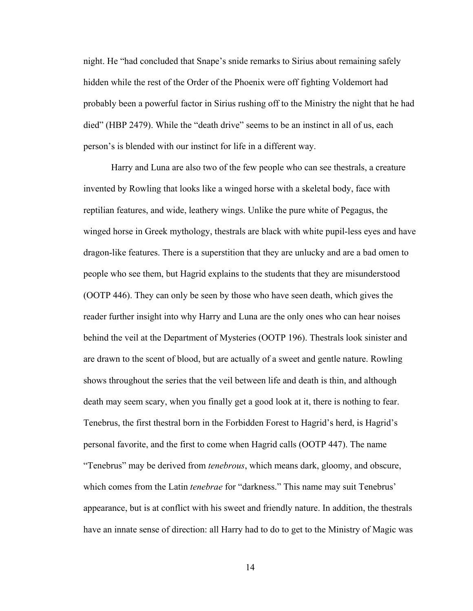night. He "had concluded that Snape's snide remarks to Sirius about remaining safely hidden while the rest of the Order of the Phoenix were off fighting Voldemort had probably been a powerful factor in Sirius rushing off to the Ministry the night that he had died" (HBP 2479). While the "death drive" seems to be an instinct in all of us, each person's is blended with our instinct for life in a different way.

Harry and Luna are also two of the few people who can see thestrals, a creature invented by Rowling that looks like a winged horse with a skeletal body, face with reptilian features, and wide, leathery wings. Unlike the pure white of Pegagus, the winged horse in Greek mythology, thestrals are black with white pupil-less eyes and have dragon-like features. There is a superstition that they are unlucky and are a bad omen to people who see them, but Hagrid explains to the students that they are misunderstood (OOTP 446). They can only be seen by those who have seen death, which gives the reader further insight into why Harry and Luna are the only ones who can hear noises behind the veil at the Department of Mysteries (OOTP 196). Thestrals look sinister and are drawn to the scent of blood, but are actually of a sweet and gentle nature. Rowling shows throughout the series that the veil between life and death is thin, and although death may seem scary, when you finally get a good look at it, there is nothing to fear. Tenebrus, the first thestral born in the Forbidden Forest to Hagrid's herd, is Hagrid's personal favorite, and the first to come when Hagrid calls (OOTP 447). The name "Tenebrus" may be derived from *tenebrous*, which means dark, gloomy, and obscure, which comes from the Latin *tenebrae* for "darkness." This name may suit Tenebrus' appearance, but is at conflict with his sweet and friendly nature. In addition, the thestrals have an innate sense of direction: all Harry had to do to get to the Ministry of Magic was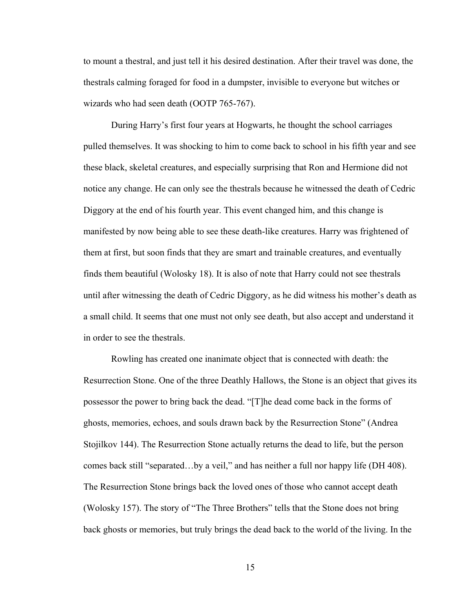to mount a thestral, and just tell it his desired destination. After their travel was done, the thestrals calming foraged for food in a dumpster, invisible to everyone but witches or wizards who had seen death (OOTP 765-767).

During Harry's first four years at Hogwarts, he thought the school carriages pulled themselves. It was shocking to him to come back to school in his fifth year and see these black, skeletal creatures, and especially surprising that Ron and Hermione did not notice any change. He can only see the thestrals because he witnessed the death of Cedric Diggory at the end of his fourth year. This event changed him, and this change is manifested by now being able to see these death-like creatures. Harry was frightened of them at first, but soon finds that they are smart and trainable creatures, and eventually finds them beautiful (Wolosky 18). It is also of note that Harry could not see thestrals until after witnessing the death of Cedric Diggory, as he did witness his mother's death as a small child. It seems that one must not only see death, but also accept and understand it in order to see the thestrals.

Rowling has created one inanimate object that is connected with death: the Resurrection Stone. One of the three Deathly Hallows, the Stone is an object that gives its possessor the power to bring back the dead. "[T]he dead come back in the forms of ghosts, memories, echoes, and souls drawn back by the Resurrection Stone" (Andrea Stojilkov 144). The Resurrection Stone actually returns the dead to life, but the person comes back still "separated…by a veil," and has neither a full nor happy life (DH 408). The Resurrection Stone brings back the loved ones of those who cannot accept death (Wolosky 157). The story of "The Three Brothers" tells that the Stone does not bring back ghosts or memories, but truly brings the dead back to the world of the living. In the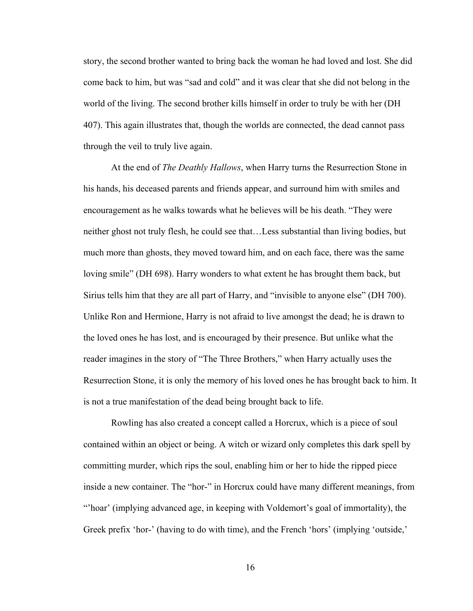story, the second brother wanted to bring back the woman he had loved and lost. She did come back to him, but was "sad and cold" and it was clear that she did not belong in the world of the living. The second brother kills himself in order to truly be with her (DH 407). This again illustrates that, though the worlds are connected, the dead cannot pass through the veil to truly live again.

At the end of *The Deathly Hallows*, when Harry turns the Resurrection Stone in his hands, his deceased parents and friends appear, and surround him with smiles and encouragement as he walks towards what he believes will be his death. "They were neither ghost not truly flesh, he could see that…Less substantial than living bodies, but much more than ghosts, they moved toward him, and on each face, there was the same loving smile" (DH 698). Harry wonders to what extent he has brought them back, but Sirius tells him that they are all part of Harry, and "invisible to anyone else" (DH 700). Unlike Ron and Hermione, Harry is not afraid to live amongst the dead; he is drawn to the loved ones he has lost, and is encouraged by their presence. But unlike what the reader imagines in the story of "The Three Brothers," when Harry actually uses the Resurrection Stone, it is only the memory of his loved ones he has brought back to him. It is not a true manifestation of the dead being brought back to life.

Rowling has also created a concept called a Horcrux, which is a piece of soul contained within an object or being. A witch or wizard only completes this dark spell by committing murder, which rips the soul, enabling him or her to hide the ripped piece inside a new container. The "hor-" in Horcrux could have many different meanings, from "'hoar' (implying advanced age, in keeping with Voldemort's goal of immortality), the Greek prefix 'hor-' (having to do with time), and the French 'hors' (implying 'outside,'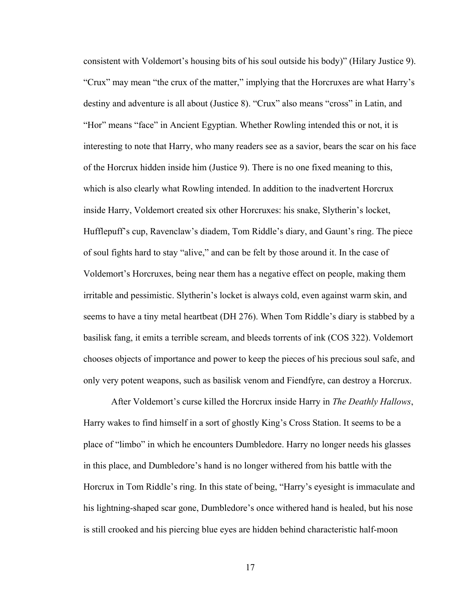consistent with Voldemort's housing bits of his soul outside his body)" (Hilary Justice 9). "Crux" may mean "the crux of the matter," implying that the Horcruxes are what Harry's destiny and adventure is all about (Justice 8). "Crux" also means "cross" in Latin, and "Hor" means "face" in Ancient Egyptian. Whether Rowling intended this or not, it is interesting to note that Harry, who many readers see as a savior, bears the scar on his face of the Horcrux hidden inside him (Justice 9). There is no one fixed meaning to this, which is also clearly what Rowling intended. In addition to the inadvertent Horcrux inside Harry, Voldemort created six other Horcruxes: his snake, Slytherin's locket, Hufflepuff's cup, Ravenclaw's diadem, Tom Riddle's diary, and Gaunt's ring. The piece of soul fights hard to stay "alive," and can be felt by those around it. In the case of Voldemort's Horcruxes, being near them has a negative effect on people, making them irritable and pessimistic. Slytherin's locket is always cold, even against warm skin, and seems to have a tiny metal heartbeat (DH 276). When Tom Riddle's diary is stabbed by a basilisk fang, it emits a terrible scream, and bleeds torrents of ink (COS 322). Voldemort chooses objects of importance and power to keep the pieces of his precious soul safe, and only very potent weapons, such as basilisk venom and Fiendfyre, can destroy a Horcrux.

After Voldemort's curse killed the Horcrux inside Harry in *The Deathly Hallows*, Harry wakes to find himself in a sort of ghostly King's Cross Station. It seems to be a place of "limbo" in which he encounters Dumbledore. Harry no longer needs his glasses in this place, and Dumbledore's hand is no longer withered from his battle with the Horcrux in Tom Riddle's ring. In this state of being, "Harry's eyesight is immaculate and his lightning-shaped scar gone, Dumbledore's once withered hand is healed, but his nose is still crooked and his piercing blue eyes are hidden behind characteristic half-moon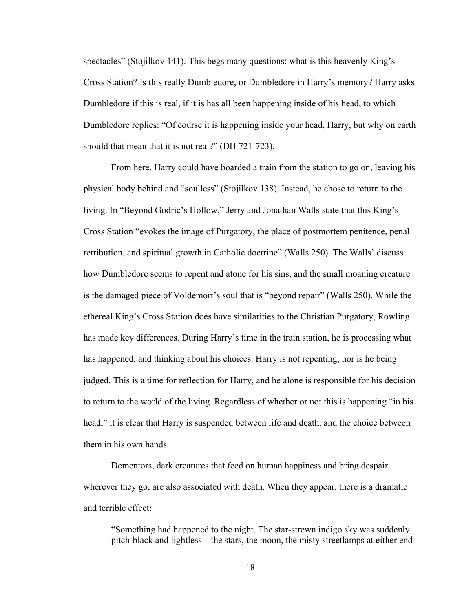spectacles" (Stojilkov 141). This begs many questions: what is this heavenly King's Cross Station? Is this really Dumbledore, or Dumbledore in Harry's memory? Harry asks Dumbledore if this is real, if it is has all been happening inside of his head, to which Dumbledore replies: "Of course it is happening inside your head, Harry, but why on earth should that mean that it is not real?" (DH 721-723).

From here, Harry could have boarded a train from the station to go on, leaving his physical body behind and "soulless" (Stojilkov 138). Instead, he chose to return to the living. In "Beyond Godric's Hollow," Jerry and Jonathan Walls state that this King's Cross Station "evokes the image of Purgatory, the place of postmortem penitence, penal retribution, and spiritual growth in Catholic doctrine" (Walls 250). The Walls' discuss how Dumbledore seems to repent and atone for his sins, and the small moaning creature is the damaged piece of Voldemort's soul that is "beyond repair" (Walls 250). While the ethereal King's Cross Station does have similarities to the Christian Purgatory, Rowling has made key differences. During Harry's time in the train station, he is processing what has happened, and thinking about his choices. Harry is not repenting, nor is he being judged. This is a time for reflection for Harry, and he alone is responsible for his decision to return to the world of the living. Regardless of whether or not this is happening "in his head," it is clear that Harry is suspended between life and death, and the choice between them in his own hands.

 Dementors, dark creatures that feed on human happiness and bring despair wherever they go, are also associated with death. When they appear, there is a dramatic and terrible effect:

"Something had happened to the night. The star-strewn indigo sky was suddenly pitch-black and lightless – the stars, the moon, the misty streetlamps at either end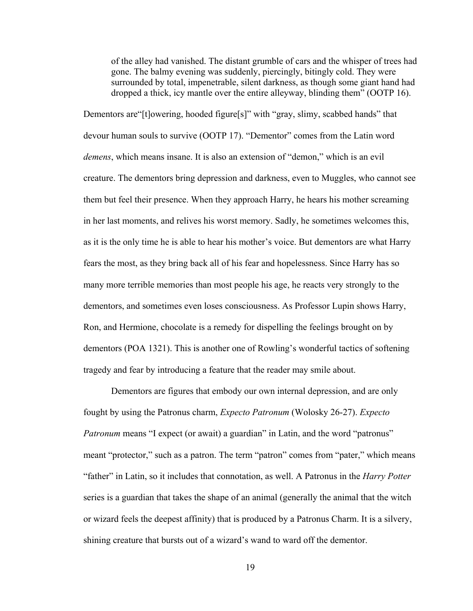of the alley had vanished. The distant grumble of cars and the whisper of trees had gone. The balmy evening was suddenly, piercingly, bitingly cold. They were surrounded by total, impenetrable, silent darkness, as though some giant hand had dropped a thick, icy mantle over the entire alleyway, blinding them" (OOTP 16).

Dementors are "[t]owering, hooded figure[s]" with "gray, slimy, scabbed hands" that devour human souls to survive (OOTP 17). "Dementor" comes from the Latin word *demens*, which means insane. It is also an extension of "demon," which is an evil creature. The dementors bring depression and darkness, even to Muggles, who cannot see them but feel their presence. When they approach Harry, he hears his mother screaming in her last moments, and relives his worst memory. Sadly, he sometimes welcomes this, as it is the only time he is able to hear his mother's voice. But dementors are what Harry fears the most, as they bring back all of his fear and hopelessness. Since Harry has so many more terrible memories than most people his age, he reacts very strongly to the dementors, and sometimes even loses consciousness. As Professor Lupin shows Harry, Ron, and Hermione, chocolate is a remedy for dispelling the feelings brought on by dementors (POA 1321). This is another one of Rowling's wonderful tactics of softening tragedy and fear by introducing a feature that the reader may smile about.

Dementors are figures that embody our own internal depression, and are only fought by using the Patronus charm, *Expecto Patronum* (Wolosky 26-27). *Expecto Patronum* means "I expect (or await) a guardian" in Latin, and the word "patronus" meant "protector," such as a patron. The term "patron" comes from "pater," which means "father" in Latin, so it includes that connotation, as well. A Patronus in the *Harry Potter* series is a guardian that takes the shape of an animal (generally the animal that the witch or wizard feels the deepest affinity) that is produced by a Patronus Charm. It is a silvery, shining creature that bursts out of a wizard's wand to ward off the dementor.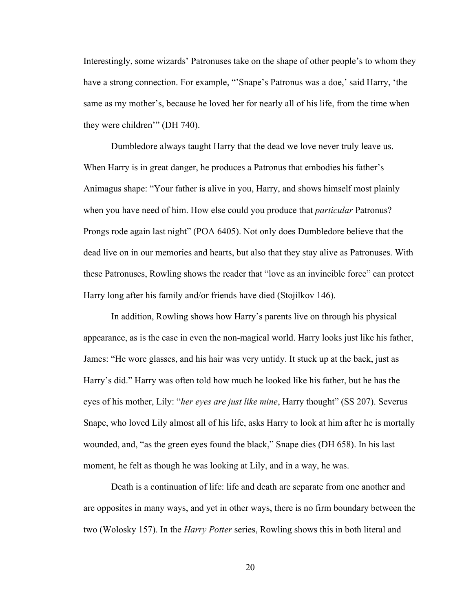Interestingly, some wizards' Patronuses take on the shape of other people's to whom they have a strong connection. For example, "'Snape's Patronus was a doe,' said Harry, 'the same as my mother's, because he loved her for nearly all of his life, from the time when they were children'" (DH 740).

Dumbledore always taught Harry that the dead we love never truly leave us. When Harry is in great danger, he produces a Patronus that embodies his father's Animagus shape: "Your father is alive in you, Harry, and shows himself most plainly when you have need of him. How else could you produce that *particular* Patronus? Prongs rode again last night" (POA 6405). Not only does Dumbledore believe that the dead live on in our memories and hearts, but also that they stay alive as Patronuses. With these Patronuses, Rowling shows the reader that "love as an invincible force" can protect Harry long after his family and/or friends have died (Stojilkov 146).

In addition, Rowling shows how Harry's parents live on through his physical appearance, as is the case in even the non-magical world. Harry looks just like his father, James: "He wore glasses, and his hair was very untidy. It stuck up at the back, just as Harry's did." Harry was often told how much he looked like his father, but he has the eyes of his mother, Lily: "*her eyes are just like mine*, Harry thought" (SS 207). Severus Snape, who loved Lily almost all of his life, asks Harry to look at him after he is mortally wounded, and, "as the green eyes found the black," Snape dies (DH 658). In his last moment, he felt as though he was looking at Lily, and in a way, he was.

Death is a continuation of life: life and death are separate from one another and are opposites in many ways, and yet in other ways, there is no firm boundary between the two (Wolosky 157). In the *Harry Potter* series, Rowling shows this in both literal and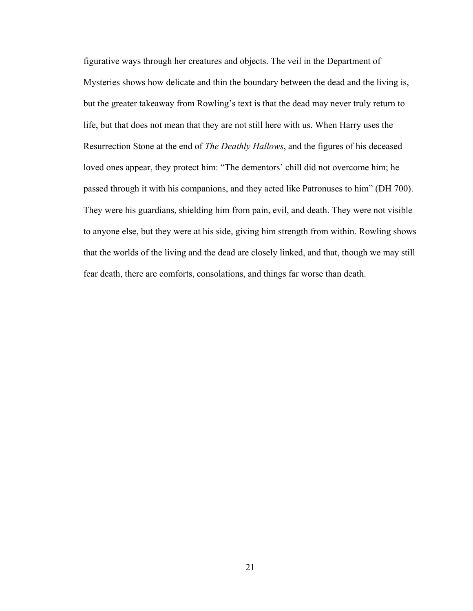figurative ways through her creatures and objects. The veil in the Department of Mysteries shows how delicate and thin the boundary between the dead and the living is, but the greater takeaway from Rowling's text is that the dead may never truly return to life, but that does not mean that they are not still here with us. When Harry uses the Resurrection Stone at the end of *The Deathly Hallows*, and the figures of his deceased loved ones appear, they protect him: "The dementors' chill did not overcome him; he passed through it with his companions, and they acted like Patronuses to him" (DH 700). They were his guardians, shielding him from pain, evil, and death. They were not visible to anyone else, but they were at his side, giving him strength from within. Rowling shows that the worlds of the living and the dead are closely linked, and that, though we may still fear death, there are comforts, consolations, and things far worse than death.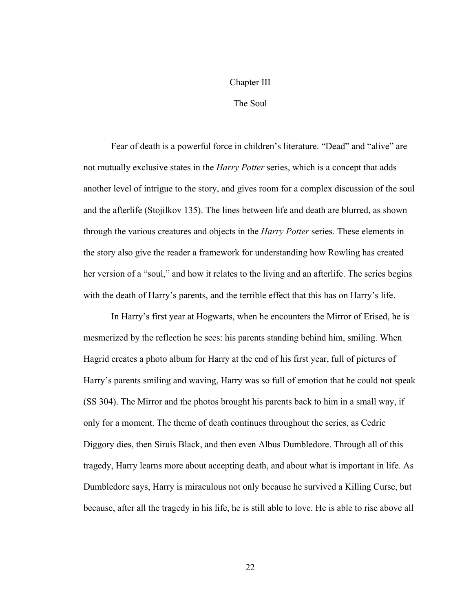#### Chapter III

#### The Soul

Fear of death is a powerful force in children's literature. "Dead" and "alive" are not mutually exclusive states in the *Harry Potter* series, which is a concept that adds another level of intrigue to the story, and gives room for a complex discussion of the soul and the afterlife (Stojilkov 135). The lines between life and death are blurred, as shown through the various creatures and objects in the *Harry Potter* series. These elements in the story also give the reader a framework for understanding how Rowling has created her version of a "soul," and how it relates to the living and an afterlife. The series begins with the death of Harry's parents, and the terrible effect that this has on Harry's life.

In Harry's first year at Hogwarts, when he encounters the Mirror of Erised, he is mesmerized by the reflection he sees: his parents standing behind him, smiling. When Hagrid creates a photo album for Harry at the end of his first year, full of pictures of Harry's parents smiling and waving, Harry was so full of emotion that he could not speak (SS 304). The Mirror and the photos brought his parents back to him in a small way, if only for a moment. The theme of death continues throughout the series, as Cedric Diggory dies, then Siruis Black, and then even Albus Dumbledore. Through all of this tragedy, Harry learns more about accepting death, and about what is important in life. As Dumbledore says, Harry is miraculous not only because he survived a Killing Curse, but because, after all the tragedy in his life, he is still able to love. He is able to rise above all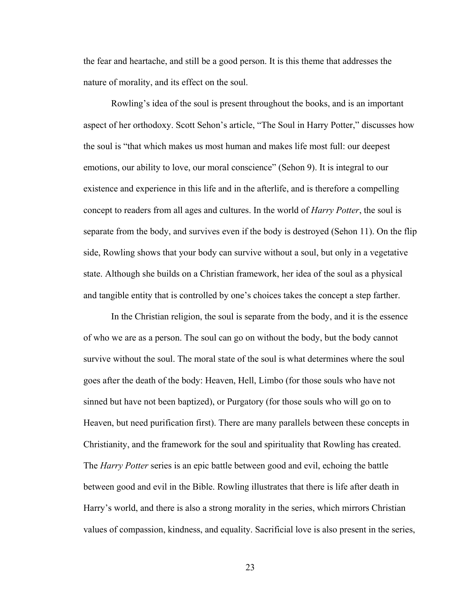the fear and heartache, and still be a good person. It is this theme that addresses the nature of morality, and its effect on the soul.

Rowling's idea of the soul is present throughout the books, and is an important aspect of her orthodoxy. Scott Sehon's article, "The Soul in Harry Potter," discusses how the soul is "that which makes us most human and makes life most full: our deepest emotions, our ability to love, our moral conscience" (Sehon 9). It is integral to our existence and experience in this life and in the afterlife, and is therefore a compelling concept to readers from all ages and cultures. In the world of *Harry Potter*, the soul is separate from the body, and survives even if the body is destroyed (Sehon 11). On the flip side, Rowling shows that your body can survive without a soul, but only in a vegetative state. Although she builds on a Christian framework, her idea of the soul as a physical and tangible entity that is controlled by one's choices takes the concept a step farther.

In the Christian religion, the soul is separate from the body, and it is the essence of who we are as a person. The soul can go on without the body, but the body cannot survive without the soul. The moral state of the soul is what determines where the soul goes after the death of the body: Heaven, Hell, Limbo (for those souls who have not sinned but have not been baptized), or Purgatory (for those souls who will go on to Heaven, but need purification first). There are many parallels between these concepts in Christianity, and the framework for the soul and spirituality that Rowling has created. The *Harry Potter* series is an epic battle between good and evil, echoing the battle between good and evil in the Bible. Rowling illustrates that there is life after death in Harry's world, and there is also a strong morality in the series, which mirrors Christian values of compassion, kindness, and equality. Sacrificial love is also present in the series,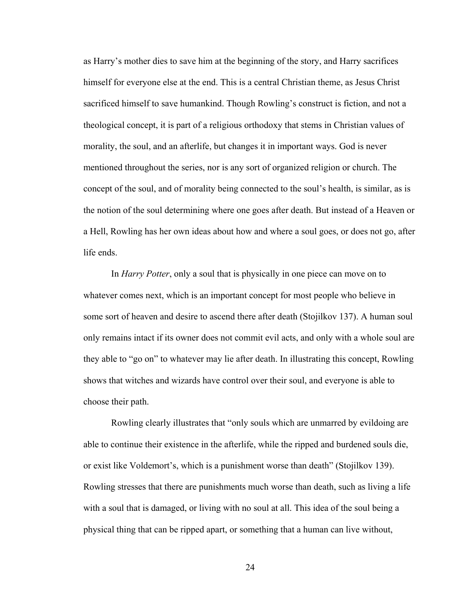as Harry's mother dies to save him at the beginning of the story, and Harry sacrifices himself for everyone else at the end. This is a central Christian theme, as Jesus Christ sacrificed himself to save humankind. Though Rowling's construct is fiction, and not a theological concept, it is part of a religious orthodoxy that stems in Christian values of morality, the soul, and an afterlife, but changes it in important ways. God is never mentioned throughout the series, nor is any sort of organized religion or church. The concept of the soul, and of morality being connected to the soul's health, is similar, as is the notion of the soul determining where one goes after death. But instead of a Heaven or a Hell, Rowling has her own ideas about how and where a soul goes, or does not go, after life ends.

In *Harry Potter*, only a soul that is physically in one piece can move on to whatever comes next, which is an important concept for most people who believe in some sort of heaven and desire to ascend there after death (Stojilkov 137). A human soul only remains intact if its owner does not commit evil acts, and only with a whole soul are they able to "go on" to whatever may lie after death. In illustrating this concept, Rowling shows that witches and wizards have control over their soul, and everyone is able to choose their path.

Rowling clearly illustrates that "only souls which are unmarred by evildoing are able to continue their existence in the afterlife, while the ripped and burdened souls die, or exist like Voldemort's, which is a punishment worse than death" (Stojilkov 139). Rowling stresses that there are punishments much worse than death, such as living a life with a soul that is damaged, or living with no soul at all. This idea of the soul being a physical thing that can be ripped apart, or something that a human can live without,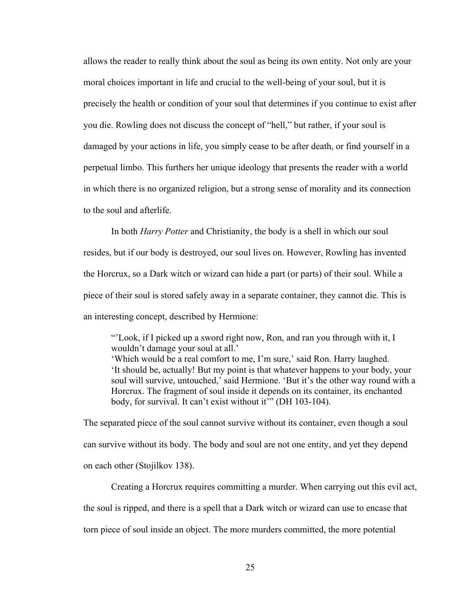allows the reader to really think about the soul as being its own entity. Not only are your moral choices important in life and crucial to the well-being of your soul, but it is precisely the health or condition of your soul that determines if you continue to exist after you die. Rowling does not discuss the concept of "hell," but rather, if your soul is damaged by your actions in life, you simply cease to be after death, or find yourself in a perpetual limbo. This furthers her unique ideology that presents the reader with a world in which there is no organized religion, but a strong sense of morality and its connection to the soul and afterlife.

In both *Harry Potter* and Christianity, the body is a shell in which our soul resides, but if our body is destroyed, our soul lives on. However, Rowling has invented the Horcrux, so a Dark witch or wizard can hide a part (or parts) of their soul. While a piece of their soul is stored safely away in a separate container, they cannot die. This is an interesting concept, described by Hermione:

"'Look, if I picked up a sword right now, Ron, and ran you through with it, I wouldn't damage your soul at all.'

'Which would be a real comfort to me, I'm sure,' said Ron. Harry laughed. 'It should be, actually! But my point is that whatever happens to your body, your soul will survive, untouched,' said Hermione. 'But it's the other way round with a Horcrux. The fragment of soul inside it depends on its container, its enchanted body, for survival. It can't exist without it'" (DH 103-104).

The separated piece of the soul cannot survive without its container, even though a soul can survive without its body. The body and soul are not one entity, and yet they depend on each other (Stojilkov 138).

Creating a Horcrux requires committing a murder. When carrying out this evil act, the soul is ripped, and there is a spell that a Dark witch or wizard can use to encase that torn piece of soul inside an object. The more murders committed, the more potential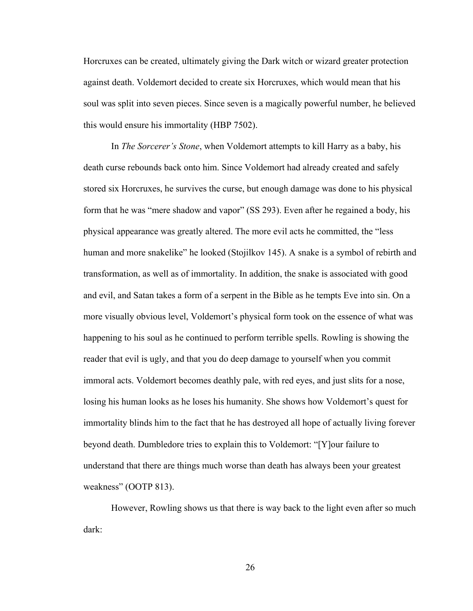Horcruxes can be created, ultimately giving the Dark witch or wizard greater protection against death. Voldemort decided to create six Horcruxes, which would mean that his soul was split into seven pieces. Since seven is a magically powerful number, he believed this would ensure his immortality (HBP 7502).

In *The Sorcerer's Stone*, when Voldemort attempts to kill Harry as a baby, his death curse rebounds back onto him. Since Voldemort had already created and safely stored six Horcruxes, he survives the curse, but enough damage was done to his physical form that he was "mere shadow and vapor" (SS 293). Even after he regained a body, his physical appearance was greatly altered. The more evil acts he committed, the "less human and more snakelike" he looked (Stojilkov 145). A snake is a symbol of rebirth and transformation, as well as of immortality. In addition, the snake is associated with good and evil, and Satan takes a form of a serpent in the Bible as he tempts Eve into sin. On a more visually obvious level, Voldemort's physical form took on the essence of what was happening to his soul as he continued to perform terrible spells. Rowling is showing the reader that evil is ugly, and that you do deep damage to yourself when you commit immoral acts. Voldemort becomes deathly pale, with red eyes, and just slits for a nose, losing his human looks as he loses his humanity. She shows how Voldemort's quest for immortality blinds him to the fact that he has destroyed all hope of actually living forever beyond death. Dumbledore tries to explain this to Voldemort: "[Y]our failure to understand that there are things much worse than death has always been your greatest weakness" (OOTP 813).

However, Rowling shows us that there is way back to the light even after so much dark: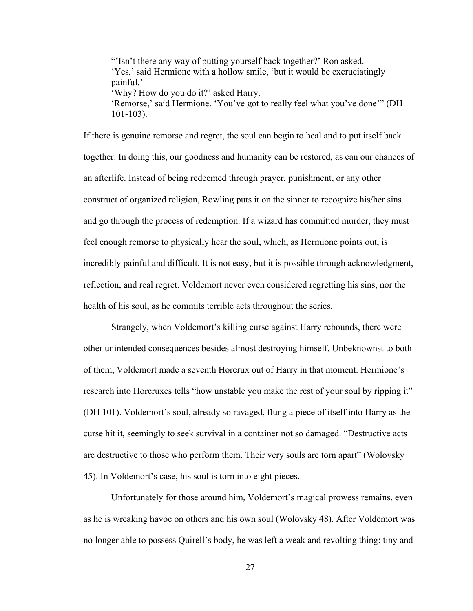"Isn't there any way of putting yourself back together?' Ron asked. 'Yes,' said Hermione with a hollow smile, 'but it would be excruciatingly painful.' 'Why? How do you do it?' asked Harry. 'Remorse,' said Hermione. 'You've got to really feel what you've done'" (DH 101-103).

If there is genuine remorse and regret, the soul can begin to heal and to put itself back together. In doing this, our goodness and humanity can be restored, as can our chances of an afterlife. Instead of being redeemed through prayer, punishment, or any other construct of organized religion, Rowling puts it on the sinner to recognize his/her sins and go through the process of redemption. If a wizard has committed murder, they must feel enough remorse to physically hear the soul, which, as Hermione points out, is incredibly painful and difficult. It is not easy, but it is possible through acknowledgment, reflection, and real regret. Voldemort never even considered regretting his sins, nor the health of his soul, as he commits terrible acts throughout the series.

Strangely, when Voldemort's killing curse against Harry rebounds, there were other unintended consequences besides almost destroying himself. Unbeknownst to both of them, Voldemort made a seventh Horcrux out of Harry in that moment. Hermione's research into Horcruxes tells "how unstable you make the rest of your soul by ripping it" (DH 101). Voldemort's soul, already so ravaged, flung a piece of itself into Harry as the curse hit it, seemingly to seek survival in a container not so damaged. "Destructive acts are destructive to those who perform them. Their very souls are torn apart" (Wolovsky 45). In Voldemort's case, his soul is torn into eight pieces.

Unfortunately for those around him, Voldemort's magical prowess remains, even as he is wreaking havoc on others and his own soul (Wolovsky 48). After Voldemort was no longer able to possess Quirell's body, he was left a weak and revolting thing: tiny and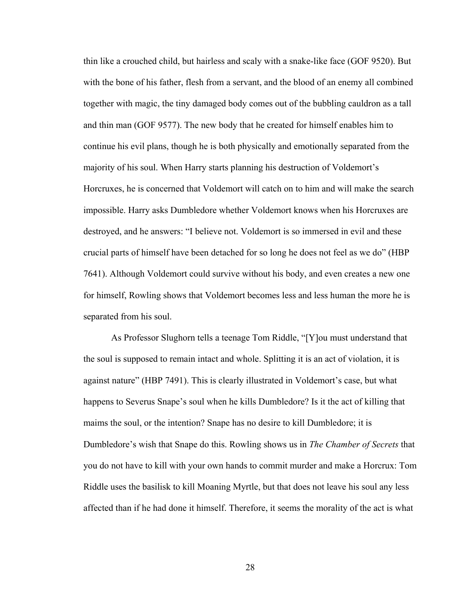thin like a crouched child, but hairless and scaly with a snake-like face (GOF 9520). But with the bone of his father, flesh from a servant, and the blood of an enemy all combined together with magic, the tiny damaged body comes out of the bubbling cauldron as a tall and thin man (GOF 9577). The new body that he created for himself enables him to continue his evil plans, though he is both physically and emotionally separated from the majority of his soul. When Harry starts planning his destruction of Voldemort's Horcruxes, he is concerned that Voldemort will catch on to him and will make the search impossible. Harry asks Dumbledore whether Voldemort knows when his Horcruxes are destroyed, and he answers: "I believe not. Voldemort is so immersed in evil and these crucial parts of himself have been detached for so long he does not feel as we do" (HBP 7641). Although Voldemort could survive without his body, and even creates a new one for himself, Rowling shows that Voldemort becomes less and less human the more he is separated from his soul.

As Professor Slughorn tells a teenage Tom Riddle, "[Y]ou must understand that the soul is supposed to remain intact and whole. Splitting it is an act of violation, it is against nature" (HBP 7491). This is clearly illustrated in Voldemort's case, but what happens to Severus Snape's soul when he kills Dumbledore? Is it the act of killing that maims the soul, or the intention? Snape has no desire to kill Dumbledore; it is Dumbledore's wish that Snape do this. Rowling shows us in *The Chamber of Secrets* that you do not have to kill with your own hands to commit murder and make a Horcrux: Tom Riddle uses the basilisk to kill Moaning Myrtle, but that does not leave his soul any less affected than if he had done it himself. Therefore, it seems the morality of the act is what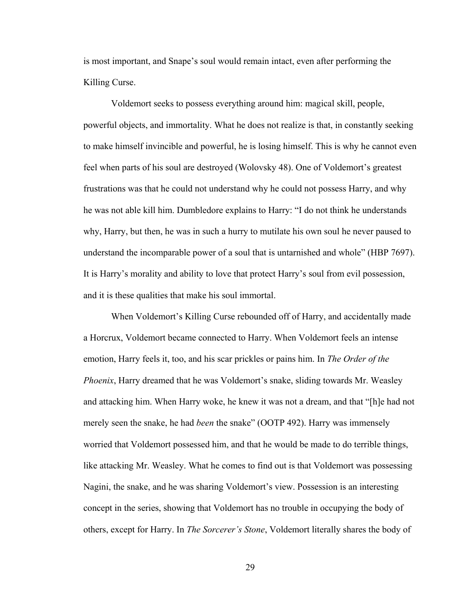is most important, and Snape's soul would remain intact, even after performing the Killing Curse.

Voldemort seeks to possess everything around him: magical skill, people, powerful objects, and immortality. What he does not realize is that, in constantly seeking to make himself invincible and powerful, he is losing himself. This is why he cannot even feel when parts of his soul are destroyed (Wolovsky 48). One of Voldemort's greatest frustrations was that he could not understand why he could not possess Harry, and why he was not able kill him. Dumbledore explains to Harry: "I do not think he understands why, Harry, but then, he was in such a hurry to mutilate his own soul he never paused to understand the incomparable power of a soul that is untarnished and whole" (HBP 7697). It is Harry's morality and ability to love that protect Harry's soul from evil possession, and it is these qualities that make his soul immortal.

When Voldemort's Killing Curse rebounded off of Harry, and accidentally made a Horcrux, Voldemort became connected to Harry. When Voldemort feels an intense emotion, Harry feels it, too, and his scar prickles or pains him. In *The Order of the Phoenix*, Harry dreamed that he was Voldemort's snake, sliding towards Mr. Weasley and attacking him. When Harry woke, he knew it was not a dream, and that "[h]e had not merely seen the snake, he had *been* the snake" (OOTP 492). Harry was immensely worried that Voldemort possessed him, and that he would be made to do terrible things, like attacking Mr. Weasley. What he comes to find out is that Voldemort was possessing Nagini, the snake, and he was sharing Voldemort's view. Possession is an interesting concept in the series, showing that Voldemort has no trouble in occupying the body of others, except for Harry. In *The Sorcerer's Stone*, Voldemort literally shares the body of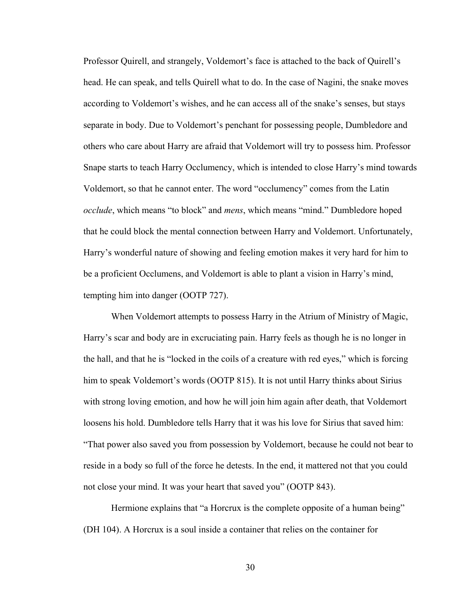Professor Quirell, and strangely, Voldemort's face is attached to the back of Quirell's head. He can speak, and tells Quirell what to do. In the case of Nagini, the snake moves according to Voldemort's wishes, and he can access all of the snake's senses, but stays separate in body. Due to Voldemort's penchant for possessing people, Dumbledore and others who care about Harry are afraid that Voldemort will try to possess him. Professor Snape starts to teach Harry Occlumency, which is intended to close Harry's mind towards Voldemort, so that he cannot enter. The word "occlumency" comes from the Latin *occlude*, which means "to block" and *mens*, which means "mind." Dumbledore hoped that he could block the mental connection between Harry and Voldemort. Unfortunately, Harry's wonderful nature of showing and feeling emotion makes it very hard for him to be a proficient Occlumens, and Voldemort is able to plant a vision in Harry's mind, tempting him into danger (OOTP 727).

When Voldemort attempts to possess Harry in the Atrium of Ministry of Magic, Harry's scar and body are in excruciating pain. Harry feels as though he is no longer in the hall, and that he is "locked in the coils of a creature with red eyes," which is forcing him to speak Voldemort's words (OOTP 815). It is not until Harry thinks about Sirius with strong loving emotion, and how he will join him again after death, that Voldemort loosens his hold. Dumbledore tells Harry that it was his love for Sirius that saved him: "That power also saved you from possession by Voldemort, because he could not bear to reside in a body so full of the force he detests. In the end, it mattered not that you could not close your mind. It was your heart that saved you" (OOTP 843).

Hermione explains that "a Horcrux is the complete opposite of a human being" (DH 104). A Horcrux is a soul inside a container that relies on the container for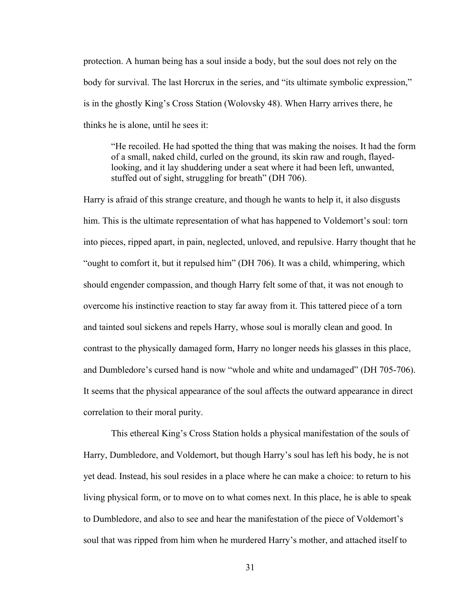protection. A human being has a soul inside a body, but the soul does not rely on the body for survival. The last Horcrux in the series, and "its ultimate symbolic expression," is in the ghostly King's Cross Station (Wolovsky 48). When Harry arrives there, he thinks he is alone, until he sees it:

"He recoiled. He had spotted the thing that was making the noises. It had the form of a small, naked child, curled on the ground, its skin raw and rough, flayedlooking, and it lay shuddering under a seat where it had been left, unwanted, stuffed out of sight, struggling for breath" (DH 706).

Harry is afraid of this strange creature, and though he wants to help it, it also disgusts him. This is the ultimate representation of what has happened to Voldemort's soul: torn into pieces, ripped apart, in pain, neglected, unloved, and repulsive. Harry thought that he "ought to comfort it, but it repulsed him" (DH 706). It was a child, whimpering, which should engender compassion, and though Harry felt some of that, it was not enough to overcome his instinctive reaction to stay far away from it. This tattered piece of a torn and tainted soul sickens and repels Harry, whose soul is morally clean and good. In contrast to the physically damaged form, Harry no longer needs his glasses in this place, and Dumbledore's cursed hand is now "whole and white and undamaged" (DH 705-706). It seems that the physical appearance of the soul affects the outward appearance in direct correlation to their moral purity.

This ethereal King's Cross Station holds a physical manifestation of the souls of Harry, Dumbledore, and Voldemort, but though Harry's soul has left his body, he is not yet dead. Instead, his soul resides in a place where he can make a choice: to return to his living physical form, or to move on to what comes next. In this place, he is able to speak to Dumbledore, and also to see and hear the manifestation of the piece of Voldemort's soul that was ripped from him when he murdered Harry's mother, and attached itself to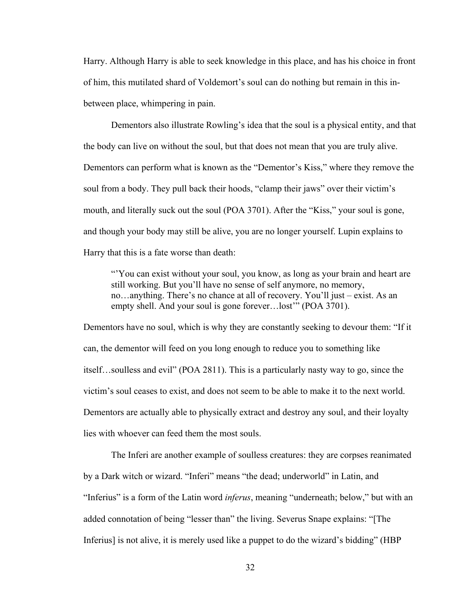Harry. Although Harry is able to seek knowledge in this place, and has his choice in front of him, this mutilated shard of Voldemort's soul can do nothing but remain in this inbetween place, whimpering in pain.

Dementors also illustrate Rowling's idea that the soul is a physical entity, and that the body can live on without the soul, but that does not mean that you are truly alive. Dementors can perform what is known as the "Dementor's Kiss," where they remove the soul from a body. They pull back their hoods, "clamp their jaws" over their victim's mouth, and literally suck out the soul (POA 3701). After the "Kiss," your soul is gone, and though your body may still be alive, you are no longer yourself. Lupin explains to Harry that this is a fate worse than death:

"'You can exist without your soul, you know, as long as your brain and heart are still working. But you'll have no sense of self anymore, no memory, no…anything. There's no chance at all of recovery. You'll just – exist. As an empty shell. And your soul is gone forever…lost'" (POA 3701).

Dementors have no soul, which is why they are constantly seeking to devour them: "If it can, the dementor will feed on you long enough to reduce you to something like itself…soulless and evil" (POA 2811). This is a particularly nasty way to go, since the victim's soul ceases to exist, and does not seem to be able to make it to the next world. Dementors are actually able to physically extract and destroy any soul, and their loyalty lies with whoever can feed them the most souls.

The Inferi are another example of soulless creatures: they are corpses reanimated by a Dark witch or wizard. "Inferi" means "the dead; underworld" in Latin, and "Inferius" is a form of the Latin word *inferus*, meaning "underneath; below," but with an added connotation of being "lesser than" the living. Severus Snape explains: "[The Inferius] is not alive, it is merely used like a puppet to do the wizard's bidding" (HBP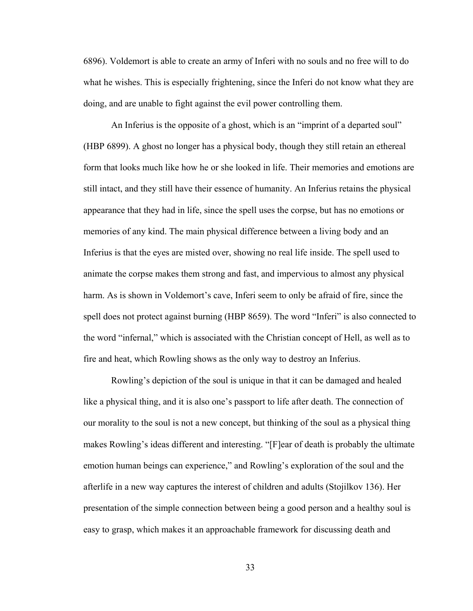6896). Voldemort is able to create an army of Inferi with no souls and no free will to do what he wishes. This is especially frightening, since the Inferi do not know what they are doing, and are unable to fight against the evil power controlling them.

An Inferius is the opposite of a ghost, which is an "imprint of a departed soul" (HBP 6899). A ghost no longer has a physical body, though they still retain an ethereal form that looks much like how he or she looked in life. Their memories and emotions are still intact, and they still have their essence of humanity. An Inferius retains the physical appearance that they had in life, since the spell uses the corpse, but has no emotions or memories of any kind. The main physical difference between a living body and an Inferius is that the eyes are misted over, showing no real life inside. The spell used to animate the corpse makes them strong and fast, and impervious to almost any physical harm. As is shown in Voldemort's cave, Inferi seem to only be afraid of fire, since the spell does not protect against burning (HBP 8659). The word "Inferi" is also connected to the word "infernal," which is associated with the Christian concept of Hell, as well as to fire and heat, which Rowling shows as the only way to destroy an Inferius.

Rowling's depiction of the soul is unique in that it can be damaged and healed like a physical thing, and it is also one's passport to life after death. The connection of our morality to the soul is not a new concept, but thinking of the soul as a physical thing makes Rowling's ideas different and interesting. "[F]ear of death is probably the ultimate emotion human beings can experience," and Rowling's exploration of the soul and the afterlife in a new way captures the interest of children and adults (Stojilkov 136). Her presentation of the simple connection between being a good person and a healthy soul is easy to grasp, which makes it an approachable framework for discussing death and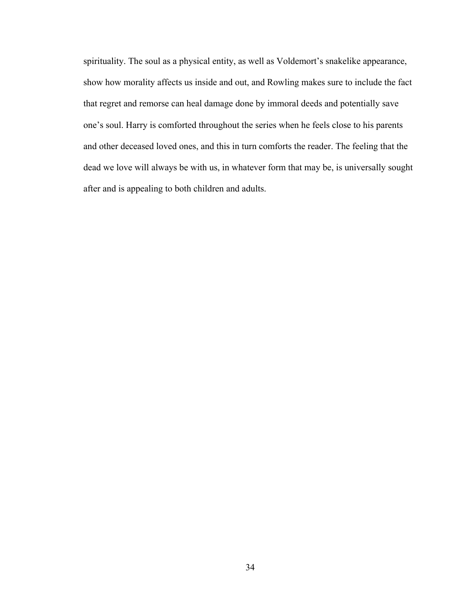spirituality. The soul as a physical entity, as well as Voldemort's snakelike appearance, show how morality affects us inside and out, and Rowling makes sure to include the fact that regret and remorse can heal damage done by immoral deeds and potentially save one's soul. Harry is comforted throughout the series when he feels close to his parents and other deceased loved ones, and this in turn comforts the reader. The feeling that the dead we love will always be with us, in whatever form that may be, is universally sought after and is appealing to both children and adults.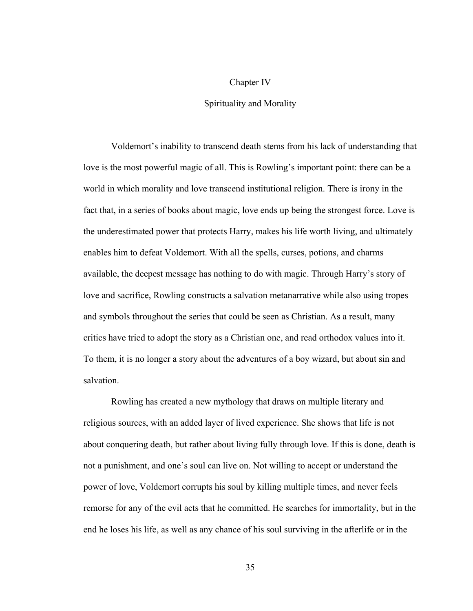#### Chapter IV

#### Spirituality and Morality

Voldemort's inability to transcend death stems from his lack of understanding that love is the most powerful magic of all. This is Rowling's important point: there can be a world in which morality and love transcend institutional religion. There is irony in the fact that, in a series of books about magic, love ends up being the strongest force. Love is the underestimated power that protects Harry, makes his life worth living, and ultimately enables him to defeat Voldemort. With all the spells, curses, potions, and charms available, the deepest message has nothing to do with magic. Through Harry's story of love and sacrifice, Rowling constructs a salvation metanarrative while also using tropes and symbols throughout the series that could be seen as Christian. As a result, many critics have tried to adopt the story as a Christian one, and read orthodox values into it. To them, it is no longer a story about the adventures of a boy wizard, but about sin and salvation.

Rowling has created a new mythology that draws on multiple literary and religious sources, with an added layer of lived experience. She shows that life is not about conquering death, but rather about living fully through love. If this is done, death is not a punishment, and one's soul can live on. Not willing to accept or understand the power of love, Voldemort corrupts his soul by killing multiple times, and never feels remorse for any of the evil acts that he committed. He searches for immortality, but in the end he loses his life, as well as any chance of his soul surviving in the afterlife or in the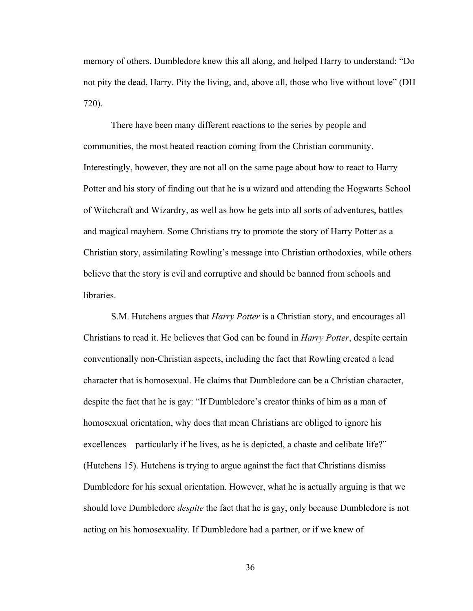memory of others. Dumbledore knew this all along, and helped Harry to understand: "Do not pity the dead, Harry. Pity the living, and, above all, those who live without love" (DH 720).

There have been many different reactions to the series by people and communities, the most heated reaction coming from the Christian community. Interestingly, however, they are not all on the same page about how to react to Harry Potter and his story of finding out that he is a wizard and attending the Hogwarts School of Witchcraft and Wizardry, as well as how he gets into all sorts of adventures, battles and magical mayhem. Some Christians try to promote the story of Harry Potter as a Christian story, assimilating Rowling's message into Christian orthodoxies, while others believe that the story is evil and corruptive and should be banned from schools and libraries.

S.M. Hutchens argues that *Harry Potter* is a Christian story, and encourages all Christians to read it. He believes that God can be found in *Harry Potter*, despite certain conventionally non-Christian aspects, including the fact that Rowling created a lead character that is homosexual. He claims that Dumbledore can be a Christian character, despite the fact that he is gay: "If Dumbledore's creator thinks of him as a man of homosexual orientation, why does that mean Christians are obliged to ignore his excellences – particularly if he lives, as he is depicted, a chaste and celibate life?" (Hutchens 15). Hutchens is trying to argue against the fact that Christians dismiss Dumbledore for his sexual orientation. However, what he is actually arguing is that we should love Dumbledore *despite* the fact that he is gay, only because Dumbledore is not acting on his homosexuality. If Dumbledore had a partner, or if we knew of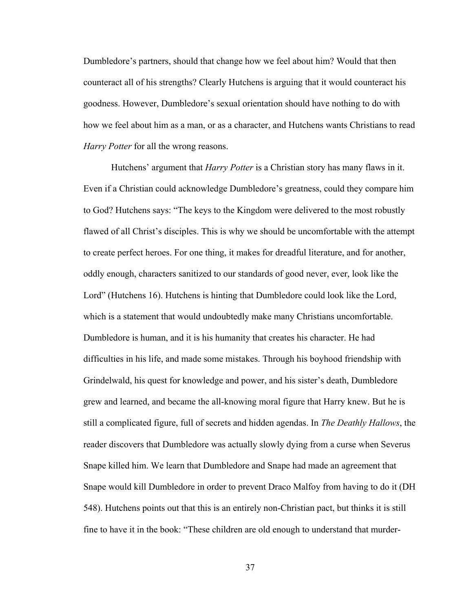Dumbledore's partners, should that change how we feel about him? Would that then counteract all of his strengths? Clearly Hutchens is arguing that it would counteract his goodness. However, Dumbledore's sexual orientation should have nothing to do with how we feel about him as a man, or as a character, and Hutchens wants Christians to read *Harry Potter* for all the wrong reasons.

Hutchens' argument that *Harry Potter* is a Christian story has many flaws in it. Even if a Christian could acknowledge Dumbledore's greatness, could they compare him to God? Hutchens says: "The keys to the Kingdom were delivered to the most robustly flawed of all Christ's disciples. This is why we should be uncomfortable with the attempt to create perfect heroes. For one thing, it makes for dreadful literature, and for another, oddly enough, characters sanitized to our standards of good never, ever, look like the Lord" (Hutchens 16). Hutchens is hinting that Dumbledore could look like the Lord, which is a statement that would undoubtedly make many Christians uncomfortable. Dumbledore is human, and it is his humanity that creates his character. He had difficulties in his life, and made some mistakes. Through his boyhood friendship with Grindelwald, his quest for knowledge and power, and his sister's death, Dumbledore grew and learned, and became the all-knowing moral figure that Harry knew. But he is still a complicated figure, full of secrets and hidden agendas. In *The Deathly Hallows*, the reader discovers that Dumbledore was actually slowly dying from a curse when Severus Snape killed him. We learn that Dumbledore and Snape had made an agreement that Snape would kill Dumbledore in order to prevent Draco Malfoy from having to do it (DH 548). Hutchens points out that this is an entirely non-Christian pact, but thinks it is still fine to have it in the book: "These children are old enough to understand that murder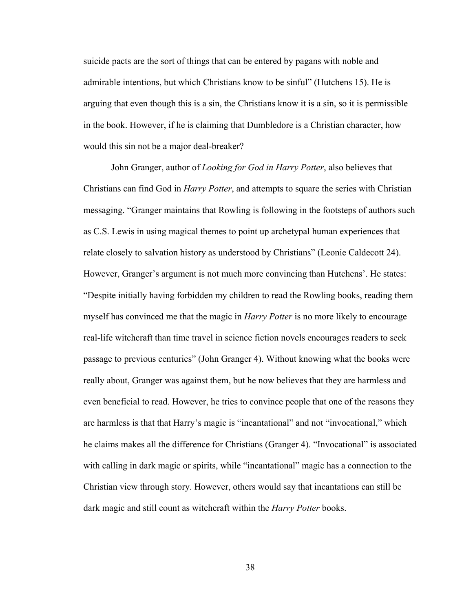suicide pacts are the sort of things that can be entered by pagans with noble and admirable intentions, but which Christians know to be sinful" (Hutchens 15). He is arguing that even though this is a sin, the Christians know it is a sin, so it is permissible in the book. However, if he is claiming that Dumbledore is a Christian character, how would this sin not be a major deal-breaker?

John Granger, author of *Looking for God in Harry Potter*, also believes that Christians can find God in *Harry Potter*, and attempts to square the series with Christian messaging. "Granger maintains that Rowling is following in the footsteps of authors such as C.S. Lewis in using magical themes to point up archetypal human experiences that relate closely to salvation history as understood by Christians" (Leonie Caldecott 24). However, Granger's argument is not much more convincing than Hutchens'. He states: "Despite initially having forbidden my children to read the Rowling books, reading them myself has convinced me that the magic in *Harry Potter* is no more likely to encourage real-life witchcraft than time travel in science fiction novels encourages readers to seek passage to previous centuries" (John Granger 4). Without knowing what the books were really about, Granger was against them, but he now believes that they are harmless and even beneficial to read. However, he tries to convince people that one of the reasons they are harmless is that that Harry's magic is "incantational" and not "invocational," which he claims makes all the difference for Christians (Granger 4). "Invocational" is associated with calling in dark magic or spirits, while "incantational" magic has a connection to the Christian view through story. However, others would say that incantations can still be dark magic and still count as witchcraft within the *Harry Potter* books.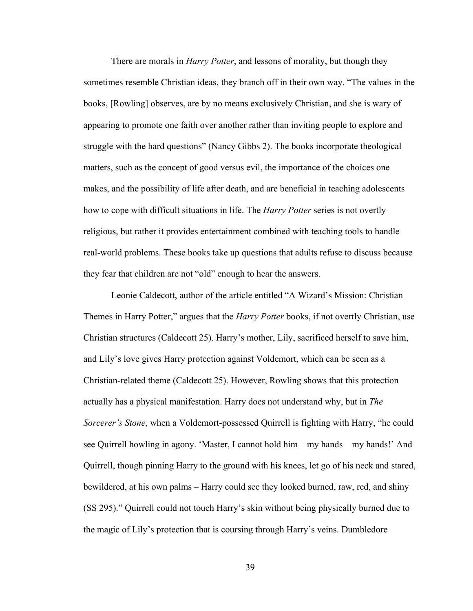There are morals in *Harry Potter*, and lessons of morality, but though they sometimes resemble Christian ideas, they branch off in their own way. "The values in the books, [Rowling] observes, are by no means exclusively Christian, and she is wary of appearing to promote one faith over another rather than inviting people to explore and struggle with the hard questions" (Nancy Gibbs 2). The books incorporate theological matters, such as the concept of good versus evil, the importance of the choices one makes, and the possibility of life after death, and are beneficial in teaching adolescents how to cope with difficult situations in life. The *Harry Potter* series is not overtly religious, but rather it provides entertainment combined with teaching tools to handle real-world problems. These books take up questions that adults refuse to discuss because they fear that children are not "old" enough to hear the answers.

Leonie Caldecott, author of the article entitled "A Wizard's Mission: Christian Themes in Harry Potter," argues that the *Harry Potter* books, if not overtly Christian, use Christian structures (Caldecott 25). Harry's mother, Lily, sacrificed herself to save him, and Lily's love gives Harry protection against Voldemort, which can be seen as a Christian-related theme (Caldecott 25). However, Rowling shows that this protection actually has a physical manifestation. Harry does not understand why, but in *The Sorcerer's Stone*, when a Voldemort-possessed Quirrell is fighting with Harry, "he could see Quirrell howling in agony. 'Master, I cannot hold him – my hands – my hands!' And Quirrell, though pinning Harry to the ground with his knees, let go of his neck and stared, bewildered, at his own palms – Harry could see they looked burned, raw, red, and shiny (SS 295)." Quirrell could not touch Harry's skin without being physically burned due to the magic of Lily's protection that is coursing through Harry's veins. Dumbledore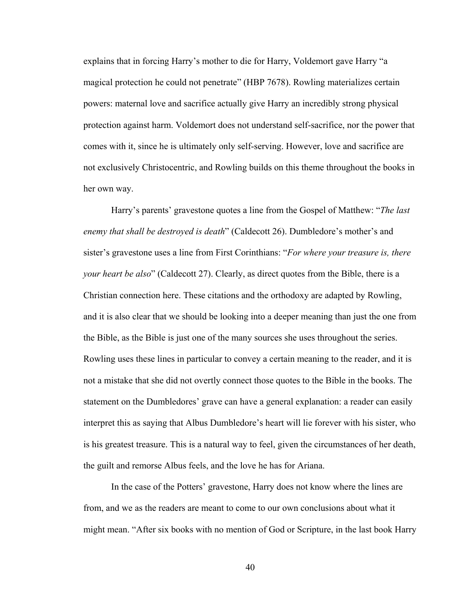explains that in forcing Harry's mother to die for Harry, Voldemort gave Harry "a magical protection he could not penetrate" (HBP 7678). Rowling materializes certain powers: maternal love and sacrifice actually give Harry an incredibly strong physical protection against harm. Voldemort does not understand self-sacrifice, nor the power that comes with it, since he is ultimately only self-serving. However, love and sacrifice are not exclusively Christocentric, and Rowling builds on this theme throughout the books in her own way.

Harry's parents' gravestone quotes a line from the Gospel of Matthew: "*The last enemy that shall be destroyed is death*" (Caldecott 26). Dumbledore's mother's and sister's gravestone uses a line from First Corinthians: "*For where your treasure is, there your heart be also*" (Caldecott 27). Clearly, as direct quotes from the Bible, there is a Christian connection here. These citations and the orthodoxy are adapted by Rowling, and it is also clear that we should be looking into a deeper meaning than just the one from the Bible, as the Bible is just one of the many sources she uses throughout the series. Rowling uses these lines in particular to convey a certain meaning to the reader, and it is not a mistake that she did not overtly connect those quotes to the Bible in the books. The statement on the Dumbledores' grave can have a general explanation: a reader can easily interpret this as saying that Albus Dumbledore's heart will lie forever with his sister, who is his greatest treasure. This is a natural way to feel, given the circumstances of her death, the guilt and remorse Albus feels, and the love he has for Ariana.

In the case of the Potters' gravestone, Harry does not know where the lines are from, and we as the readers are meant to come to our own conclusions about what it might mean. "After six books with no mention of God or Scripture, in the last book Harry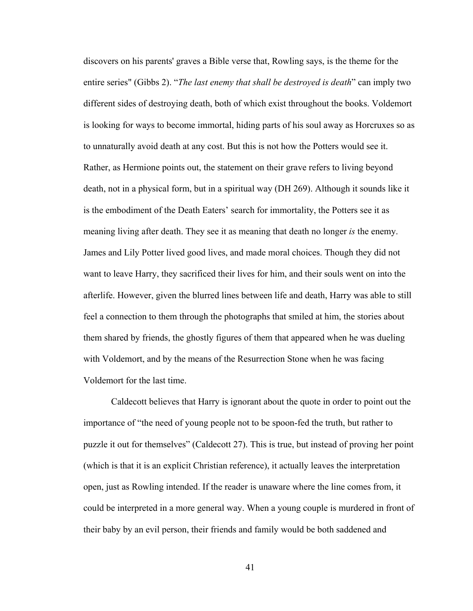discovers on his parents' graves a Bible verse that, Rowling says, is the theme for the entire series" (Gibbs 2). "*The last enemy that shall be destroyed is death*" can imply two different sides of destroying death, both of which exist throughout the books. Voldemort is looking for ways to become immortal, hiding parts of his soul away as Horcruxes so as to unnaturally avoid death at any cost. But this is not how the Potters would see it. Rather, as Hermione points out, the statement on their grave refers to living beyond death, not in a physical form, but in a spiritual way (DH 269). Although it sounds like it is the embodiment of the Death Eaters' search for immortality, the Potters see it as meaning living after death. They see it as meaning that death no longer *is* the enemy. James and Lily Potter lived good lives, and made moral choices. Though they did not want to leave Harry, they sacrificed their lives for him, and their souls went on into the afterlife. However, given the blurred lines between life and death, Harry was able to still feel a connection to them through the photographs that smiled at him, the stories about them shared by friends, the ghostly figures of them that appeared when he was dueling with Voldemort, and by the means of the Resurrection Stone when he was facing Voldemort for the last time.

Caldecott believes that Harry is ignorant about the quote in order to point out the importance of "the need of young people not to be spoon-fed the truth, but rather to puzzle it out for themselves" (Caldecott 27). This is true, but instead of proving her point (which is that it is an explicit Christian reference), it actually leaves the interpretation open, just as Rowling intended. If the reader is unaware where the line comes from, it could be interpreted in a more general way. When a young couple is murdered in front of their baby by an evil person, their friends and family would be both saddened and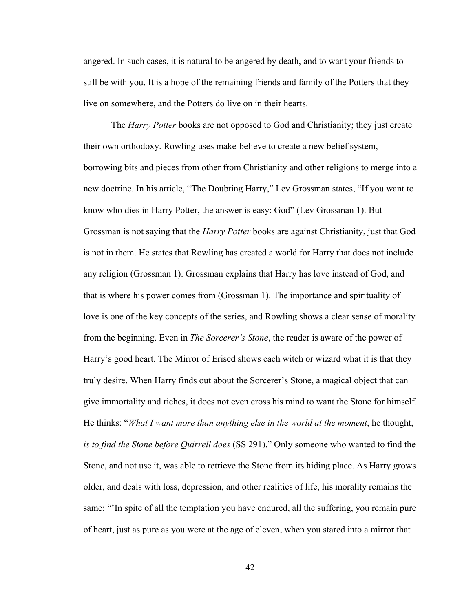angered. In such cases, it is natural to be angered by death, and to want your friends to still be with you. It is a hope of the remaining friends and family of the Potters that they live on somewhere, and the Potters do live on in their hearts.

The *Harry Potter* books are not opposed to God and Christianity; they just create their own orthodoxy. Rowling uses make-believe to create a new belief system, borrowing bits and pieces from other from Christianity and other religions to merge into a new doctrine. In his article, "The Doubting Harry," Lev Grossman states, "If you want to know who dies in Harry Potter, the answer is easy: God" (Lev Grossman 1). But Grossman is not saying that the *Harry Potter* books are against Christianity, just that God is not in them. He states that Rowling has created a world for Harry that does not include any religion (Grossman 1). Grossman explains that Harry has love instead of God, and that is where his power comes from (Grossman 1). The importance and spirituality of love is one of the key concepts of the series, and Rowling shows a clear sense of morality from the beginning. Even in *The Sorcerer's Stone*, the reader is aware of the power of Harry's good heart. The Mirror of Erised shows each witch or wizard what it is that they truly desire. When Harry finds out about the Sorcerer's Stone, a magical object that can give immortality and riches, it does not even cross his mind to want the Stone for himself. He thinks: "*What I want more than anything else in the world at the moment*, he thought, *is to find the Stone before Quirrell does* (SS 291)." Only someone who wanted to find the Stone, and not use it, was able to retrieve the Stone from its hiding place. As Harry grows older, and deals with loss, depression, and other realities of life, his morality remains the same: "'In spite of all the temptation you have endured, all the suffering, you remain pure of heart, just as pure as you were at the age of eleven, when you stared into a mirror that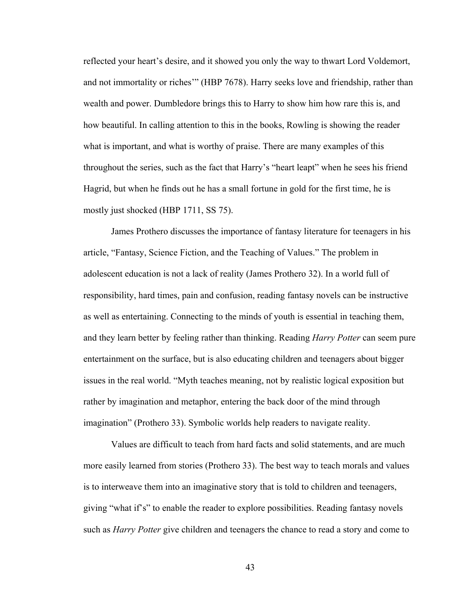reflected your heart's desire, and it showed you only the way to thwart Lord Voldemort, and not immortality or riches'" (HBP 7678). Harry seeks love and friendship, rather than wealth and power. Dumbledore brings this to Harry to show him how rare this is, and how beautiful. In calling attention to this in the books, Rowling is showing the reader what is important, and what is worthy of praise. There are many examples of this throughout the series, such as the fact that Harry's "heart leapt" when he sees his friend Hagrid, but when he finds out he has a small fortune in gold for the first time, he is mostly just shocked (HBP 1711, SS 75).

James Prothero discusses the importance of fantasy literature for teenagers in his article, "Fantasy, Science Fiction, and the Teaching of Values." The problem in adolescent education is not a lack of reality (James Prothero 32). In a world full of responsibility, hard times, pain and confusion, reading fantasy novels can be instructive as well as entertaining. Connecting to the minds of youth is essential in teaching them, and they learn better by feeling rather than thinking. Reading *Harry Potter* can seem pure entertainment on the surface, but is also educating children and teenagers about bigger issues in the real world. "Myth teaches meaning, not by realistic logical exposition but rather by imagination and metaphor, entering the back door of the mind through imagination" (Prothero 33). Symbolic worlds help readers to navigate reality.

Values are difficult to teach from hard facts and solid statements, and are much more easily learned from stories (Prothero 33). The best way to teach morals and values is to interweave them into an imaginative story that is told to children and teenagers, giving "what if's" to enable the reader to explore possibilities. Reading fantasy novels such as *Harry Potter* give children and teenagers the chance to read a story and come to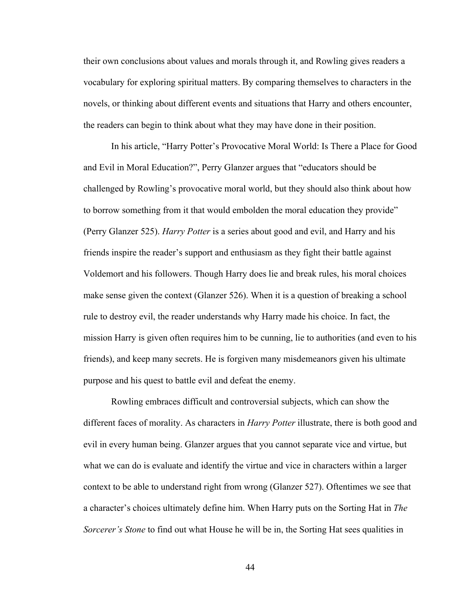their own conclusions about values and morals through it, and Rowling gives readers a vocabulary for exploring spiritual matters. By comparing themselves to characters in the novels, or thinking about different events and situations that Harry and others encounter, the readers can begin to think about what they may have done in their position.

In his article, "Harry Potter's Provocative Moral World: Is There a Place for Good and Evil in Moral Education?", Perry Glanzer argues that "educators should be challenged by Rowling's provocative moral world, but they should also think about how to borrow something from it that would embolden the moral education they provide" (Perry Glanzer 525). *Harry Potter* is a series about good and evil, and Harry and his friends inspire the reader's support and enthusiasm as they fight their battle against Voldemort and his followers. Though Harry does lie and break rules, his moral choices make sense given the context (Glanzer 526). When it is a question of breaking a school rule to destroy evil, the reader understands why Harry made his choice. In fact, the mission Harry is given often requires him to be cunning, lie to authorities (and even to his friends), and keep many secrets. He is forgiven many misdemeanors given his ultimate purpose and his quest to battle evil and defeat the enemy.

Rowling embraces difficult and controversial subjects, which can show the different faces of morality. As characters in *Harry Potter* illustrate, there is both good and evil in every human being. Glanzer argues that you cannot separate vice and virtue, but what we can do is evaluate and identify the virtue and vice in characters within a larger context to be able to understand right from wrong (Glanzer 527). Oftentimes we see that a character's choices ultimately define him. When Harry puts on the Sorting Hat in *The Sorcerer's Stone* to find out what House he will be in, the Sorting Hat sees qualities in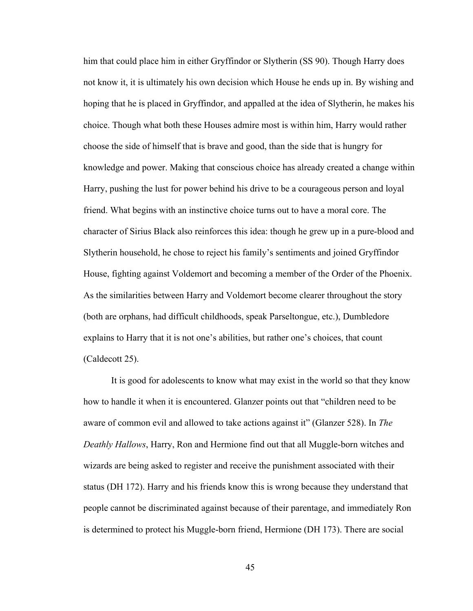him that could place him in either Gryffindor or Slytherin (SS 90). Though Harry does not know it, it is ultimately his own decision which House he ends up in. By wishing and hoping that he is placed in Gryffindor, and appalled at the idea of Slytherin, he makes his choice. Though what both these Houses admire most is within him, Harry would rather choose the side of himself that is brave and good, than the side that is hungry for knowledge and power. Making that conscious choice has already created a change within Harry, pushing the lust for power behind his drive to be a courageous person and loyal friend. What begins with an instinctive choice turns out to have a moral core. The character of Sirius Black also reinforces this idea: though he grew up in a pure-blood and Slytherin household, he chose to reject his family's sentiments and joined Gryffindor House, fighting against Voldemort and becoming a member of the Order of the Phoenix. As the similarities between Harry and Voldemort become clearer throughout the story (both are orphans, had difficult childhoods, speak Parseltongue, etc.), Dumbledore explains to Harry that it is not one's abilities, but rather one's choices, that count (Caldecott 25).

It is good for adolescents to know what may exist in the world so that they know how to handle it when it is encountered. Glanzer points out that "children need to be aware of common evil and allowed to take actions against it" (Glanzer 528). In *The Deathly Hallows*, Harry, Ron and Hermione find out that all Muggle-born witches and wizards are being asked to register and receive the punishment associated with their status (DH 172). Harry and his friends know this is wrong because they understand that people cannot be discriminated against because of their parentage, and immediately Ron is determined to protect his Muggle-born friend, Hermione (DH 173). There are social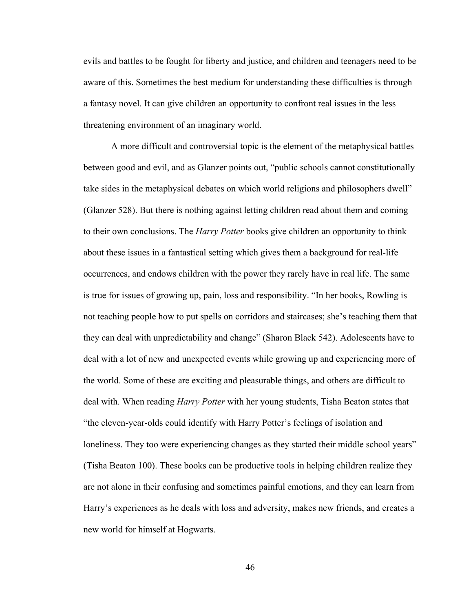evils and battles to be fought for liberty and justice, and children and teenagers need to be aware of this. Sometimes the best medium for understanding these difficulties is through a fantasy novel. It can give children an opportunity to confront real issues in the less threatening environment of an imaginary world.

 A more difficult and controversial topic is the element of the metaphysical battles between good and evil, and as Glanzer points out, "public schools cannot constitutionally take sides in the metaphysical debates on which world religions and philosophers dwell" (Glanzer 528). But there is nothing against letting children read about them and coming to their own conclusions. The *Harry Potter* books give children an opportunity to think about these issues in a fantastical setting which gives them a background for real-life occurrences, and endows children with the power they rarely have in real life. The same is true for issues of growing up, pain, loss and responsibility. "In her books, Rowling is not teaching people how to put spells on corridors and staircases; she's teaching them that they can deal with unpredictability and change" (Sharon Black 542). Adolescents have to deal with a lot of new and unexpected events while growing up and experiencing more of the world. Some of these are exciting and pleasurable things, and others are difficult to deal with. When reading *Harry Potter* with her young students, Tisha Beaton states that "the eleven-year-olds could identify with Harry Potter's feelings of isolation and loneliness. They too were experiencing changes as they started their middle school years" (Tisha Beaton 100). These books can be productive tools in helping children realize they are not alone in their confusing and sometimes painful emotions, and they can learn from Harry's experiences as he deals with loss and adversity, makes new friends, and creates a new world for himself at Hogwarts.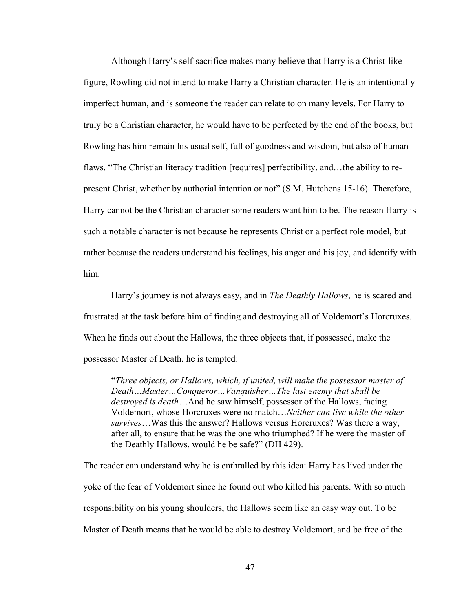Although Harry's self-sacrifice makes many believe that Harry is a Christ-like figure, Rowling did not intend to make Harry a Christian character. He is an intentionally imperfect human, and is someone the reader can relate to on many levels. For Harry to truly be a Christian character, he would have to be perfected by the end of the books, but Rowling has him remain his usual self, full of goodness and wisdom, but also of human flaws. "The Christian literacy tradition [requires] perfectibility, and…the ability to represent Christ, whether by authorial intention or not" (S.M. Hutchens 15-16). Therefore, Harry cannot be the Christian character some readers want him to be. The reason Harry is such a notable character is not because he represents Christ or a perfect role model, but rather because the readers understand his feelings, his anger and his joy, and identify with him.

Harry's journey is not always easy, and in *The Deathly Hallows*, he is scared and frustrated at the task before him of finding and destroying all of Voldemort's Horcruxes. When he finds out about the Hallows, the three objects that, if possessed, make the possessor Master of Death, he is tempted:

"*Three objects, or Hallows, which, if united, will make the possessor master of Death…Master…Conqueror…Vanquisher…The last enemy that shall be destroyed is death*…And he saw himself, possessor of the Hallows, facing Voldemort, whose Horcruxes were no match…*Neither can live while the other survives*…Was this the answer? Hallows versus Horcruxes? Was there a way, after all, to ensure that he was the one who triumphed? If he were the master of the Deathly Hallows, would he be safe?" (DH 429).

The reader can understand why he is enthralled by this idea: Harry has lived under the yoke of the fear of Voldemort since he found out who killed his parents. With so much responsibility on his young shoulders, the Hallows seem like an easy way out. To be Master of Death means that he would be able to destroy Voldemort, and be free of the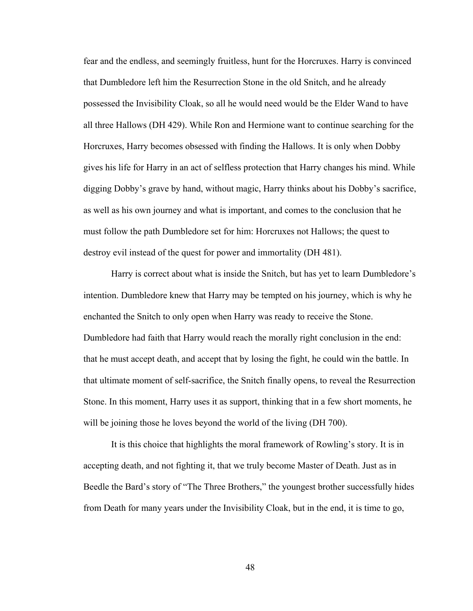fear and the endless, and seemingly fruitless, hunt for the Horcruxes. Harry is convinced that Dumbledore left him the Resurrection Stone in the old Snitch, and he already possessed the Invisibility Cloak, so all he would need would be the Elder Wand to have all three Hallows (DH 429). While Ron and Hermione want to continue searching for the Horcruxes, Harry becomes obsessed with finding the Hallows. It is only when Dobby gives his life for Harry in an act of selfless protection that Harry changes his mind. While digging Dobby's grave by hand, without magic, Harry thinks about his Dobby's sacrifice, as well as his own journey and what is important, and comes to the conclusion that he must follow the path Dumbledore set for him: Horcruxes not Hallows; the quest to destroy evil instead of the quest for power and immortality (DH 481).

 Harry is correct about what is inside the Snitch, but has yet to learn Dumbledore's intention. Dumbledore knew that Harry may be tempted on his journey, which is why he enchanted the Snitch to only open when Harry was ready to receive the Stone. Dumbledore had faith that Harry would reach the morally right conclusion in the end: that he must accept death, and accept that by losing the fight, he could win the battle. In that ultimate moment of self-sacrifice, the Snitch finally opens, to reveal the Resurrection Stone. In this moment, Harry uses it as support, thinking that in a few short moments, he will be joining those he loves beyond the world of the living (DH 700).

 It is this choice that highlights the moral framework of Rowling's story. It is in accepting death, and not fighting it, that we truly become Master of Death. Just as in Beedle the Bard's story of "The Three Brothers," the youngest brother successfully hides from Death for many years under the Invisibility Cloak, but in the end, it is time to go,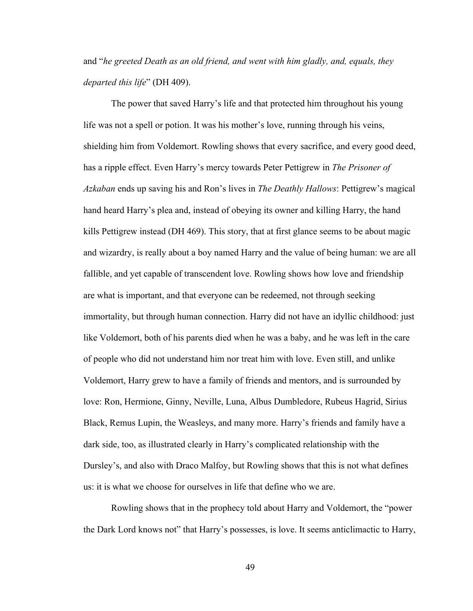and "*he greeted Death as an old friend, and went with him gladly, and, equals, they departed this life*" (DH 409).

The power that saved Harry's life and that protected him throughout his young life was not a spell or potion. It was his mother's love, running through his veins, shielding him from Voldemort. Rowling shows that every sacrifice, and every good deed, has a ripple effect. Even Harry's mercy towards Peter Pettigrew in *The Prisoner of Azkaban* ends up saving his and Ron's lives in *The Deathly Hallows*: Pettigrew's magical hand heard Harry's plea and, instead of obeying its owner and killing Harry, the hand kills Pettigrew instead (DH 469). This story, that at first glance seems to be about magic and wizardry, is really about a boy named Harry and the value of being human: we are all fallible, and yet capable of transcendent love. Rowling shows how love and friendship are what is important, and that everyone can be redeemed, not through seeking immortality, but through human connection. Harry did not have an idyllic childhood: just like Voldemort, both of his parents died when he was a baby, and he was left in the care of people who did not understand him nor treat him with love. Even still, and unlike Voldemort, Harry grew to have a family of friends and mentors, and is surrounded by love: Ron, Hermione, Ginny, Neville, Luna, Albus Dumbledore, Rubeus Hagrid, Sirius Black, Remus Lupin, the Weasleys, and many more. Harry's friends and family have a dark side, too, as illustrated clearly in Harry's complicated relationship with the Dursley's, and also with Draco Malfoy, but Rowling shows that this is not what defines us: it is what we choose for ourselves in life that define who we are.

Rowling shows that in the prophecy told about Harry and Voldemort, the "power the Dark Lord knows not" that Harry's possesses, is love. It seems anticlimactic to Harry,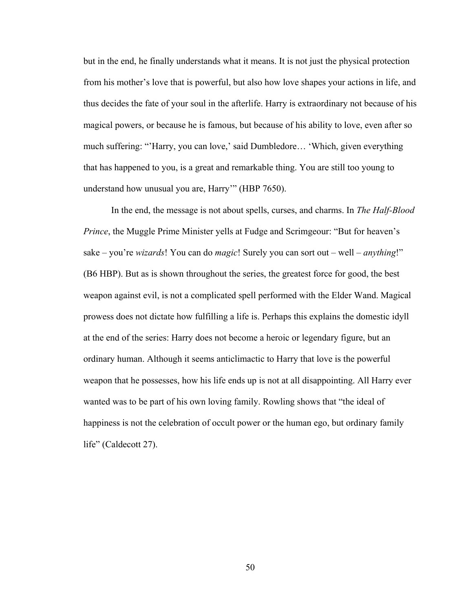but in the end, he finally understands what it means. It is not just the physical protection from his mother's love that is powerful, but also how love shapes your actions in life, and thus decides the fate of your soul in the afterlife. Harry is extraordinary not because of his magical powers, or because he is famous, but because of his ability to love, even after so much suffering: "'Harry, you can love,' said Dumbledore… 'Which, given everything that has happened to you, is a great and remarkable thing. You are still too young to understand how unusual you are, Harry'" (HBP 7650).

In the end, the message is not about spells, curses, and charms. In *The Half-Blood Prince*, the Muggle Prime Minister yells at Fudge and Scrimgeour: "But for heaven's sake – you're *wizards*! You can do *magic*! Surely you can sort out – well – *anything*!" (B6 HBP). But as is shown throughout the series, the greatest force for good, the best weapon against evil, is not a complicated spell performed with the Elder Wand. Magical prowess does not dictate how fulfilling a life is. Perhaps this explains the domestic idyll at the end of the series: Harry does not become a heroic or legendary figure, but an ordinary human. Although it seems anticlimactic to Harry that love is the powerful weapon that he possesses, how his life ends up is not at all disappointing. All Harry ever wanted was to be part of his own loving family. Rowling shows that "the ideal of happiness is not the celebration of occult power or the human ego, but ordinary family life" (Caldecott 27).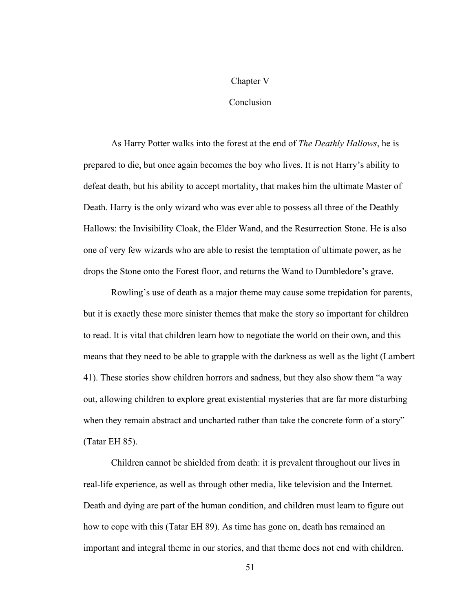#### Chapter V

#### **Conclusion**

As Harry Potter walks into the forest at the end of *The Deathly Hallows*, he is prepared to die, but once again becomes the boy who lives. It is not Harry's ability to defeat death, but his ability to accept mortality, that makes him the ultimate Master of Death. Harry is the only wizard who was ever able to possess all three of the Deathly Hallows: the Invisibility Cloak, the Elder Wand, and the Resurrection Stone. He is also one of very few wizards who are able to resist the temptation of ultimate power, as he drops the Stone onto the Forest floor, and returns the Wand to Dumbledore's grave.

Rowling's use of death as a major theme may cause some trepidation for parents, but it is exactly these more sinister themes that make the story so important for children to read. It is vital that children learn how to negotiate the world on their own, and this means that they need to be able to grapple with the darkness as well as the light (Lambert 41). These stories show children horrors and sadness, but they also show them "a way out, allowing children to explore great existential mysteries that are far more disturbing when they remain abstract and uncharted rather than take the concrete form of a story" (Tatar EH 85).

Children cannot be shielded from death: it is prevalent throughout our lives in real-life experience, as well as through other media, like television and the Internet. Death and dying are part of the human condition, and children must learn to figure out how to cope with this (Tatar EH 89). As time has gone on, death has remained an important and integral theme in our stories, and that theme does not end with children.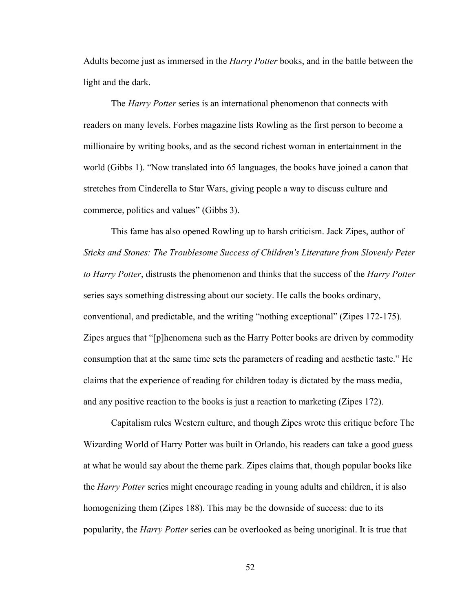Adults become just as immersed in the *Harry Potter* books, and in the battle between the light and the dark.

The *Harry Potter* series is an international phenomenon that connects with readers on many levels. Forbes magazine lists Rowling as the first person to become a millionaire by writing books, and as the second richest woman in entertainment in the world (Gibbs 1). "Now translated into 65 languages, the books have joined a canon that stretches from Cinderella to Star Wars, giving people a way to discuss culture and commerce, politics and values" (Gibbs 3).

This fame has also opened Rowling up to harsh criticism. Jack Zipes, author of *Sticks and Stones: The Troublesome Success of Children's Literature from Slovenly Peter to Harry Potter*, distrusts the phenomenon and thinks that the success of the *Harry Potter* series says something distressing about our society. He calls the books ordinary, conventional, and predictable, and the writing "nothing exceptional" (Zipes 172-175). Zipes argues that "[p]henomena such as the Harry Potter books are driven by commodity consumption that at the same time sets the parameters of reading and aesthetic taste." He claims that the experience of reading for children today is dictated by the mass media, and any positive reaction to the books is just a reaction to marketing (Zipes 172).

Capitalism rules Western culture, and though Zipes wrote this critique before The Wizarding World of Harry Potter was built in Orlando, his readers can take a good guess at what he would say about the theme park. Zipes claims that, though popular books like the *Harry Potter* series might encourage reading in young adults and children, it is also homogenizing them (Zipes 188). This may be the downside of success: due to its popularity, the *Harry Potter* series can be overlooked as being unoriginal. It is true that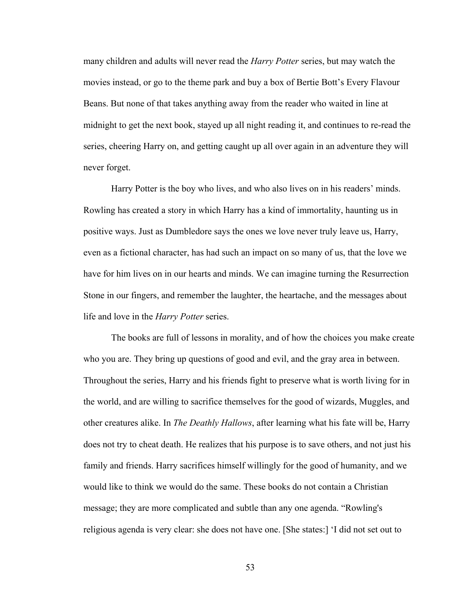many children and adults will never read the *Harry Potter* series, but may watch the movies instead, or go to the theme park and buy a box of Bertie Bott's Every Flavour Beans. But none of that takes anything away from the reader who waited in line at midnight to get the next book, stayed up all night reading it, and continues to re-read the series, cheering Harry on, and getting caught up all over again in an adventure they will never forget.

Harry Potter is the boy who lives, and who also lives on in his readers' minds. Rowling has created a story in which Harry has a kind of immortality, haunting us in positive ways. Just as Dumbledore says the ones we love never truly leave us, Harry, even as a fictional character, has had such an impact on so many of us, that the love we have for him lives on in our hearts and minds. We can imagine turning the Resurrection Stone in our fingers, and remember the laughter, the heartache, and the messages about life and love in the *Harry Potter* series.

The books are full of lessons in morality, and of how the choices you make create who you are. They bring up questions of good and evil, and the gray area in between. Throughout the series, Harry and his friends fight to preserve what is worth living for in the world, and are willing to sacrifice themselves for the good of wizards, Muggles, and other creatures alike. In *The Deathly Hallows*, after learning what his fate will be, Harry does not try to cheat death. He realizes that his purpose is to save others, and not just his family and friends. Harry sacrifices himself willingly for the good of humanity, and we would like to think we would do the same. These books do not contain a Christian message; they are more complicated and subtle than any one agenda. "Rowling's religious agenda is very clear: she does not have one. [She states:] 'I did not set out to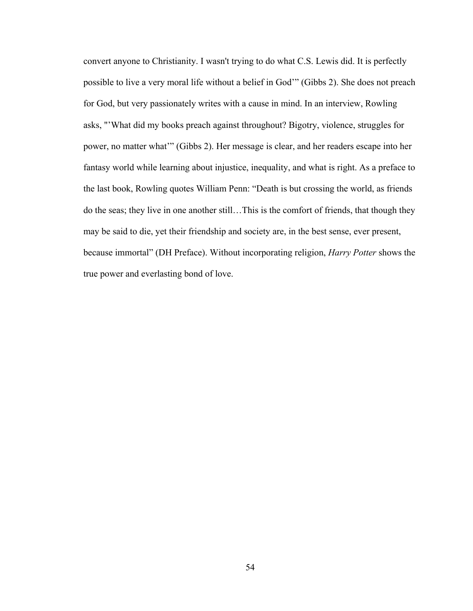convert anyone to Christianity. I wasn't trying to do what C.S. Lewis did. It is perfectly possible to live a very moral life without a belief in God'" (Gibbs 2). She does not preach for God, but very passionately writes with a cause in mind. In an interview, Rowling asks, "'What did my books preach against throughout? Bigotry, violence, struggles for power, no matter what'" (Gibbs 2). Her message is clear, and her readers escape into her fantasy world while learning about injustice, inequality, and what is right. As a preface to the last book, Rowling quotes William Penn: "Death is but crossing the world, as friends do the seas; they live in one another still…This is the comfort of friends, that though they may be said to die, yet their friendship and society are, in the best sense, ever present, because immortal" (DH Preface). Without incorporating religion, *Harry Potter* shows the true power and everlasting bond of love.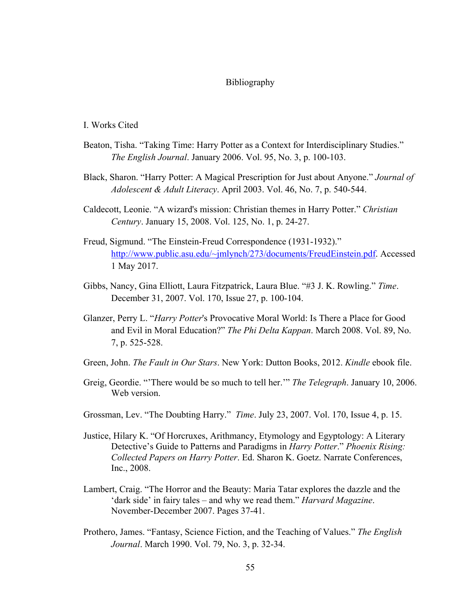#### Bibliography

#### I. Works Cited

- Beaton, Tisha. "Taking Time: Harry Potter as a Context for Interdisciplinary Studies." *The English Journal*. January 2006. Vol. 95, No. 3, p. 100-103.
- Black, Sharon. "Harry Potter: A Magical Prescription for Just about Anyone." *Journal of Adolescent & Adult Literacy*. April 2003. Vol. 46, No. 7, p. 540-544.
- Caldecott, Leonie. "A wizard's mission: Christian themes in Harry Potter." *Christian Century*. January 15, 2008. Vol. 125, No. 1, p. 24-27.
- Freud, Sigmund. "The Einstein-Freud Correspondence (1931-1932)." http://www.public.asu.edu/~jmlynch/273/documents/FreudEinstein.pdf. Accessed 1 May 2017.
- Gibbs, Nancy, Gina Elliott, Laura Fitzpatrick, Laura Blue. "#3 J. K. Rowling." *Time*. December 31, 2007. Vol. 170, Issue 27, p. 100-104.
- Glanzer, Perry L. "*Harry Potter*'s Provocative Moral World: Is There a Place for Good and Evil in Moral Education?" *The Phi Delta Kappan*. March 2008. Vol. 89, No. 7, p. 525-528.
- Green, John. *The Fault in Our Stars*. New York: Dutton Books, 2012. *Kindle* ebook file.
- Greig, Geordie. "'There would be so much to tell her.'" *The Telegraph*. January 10, 2006. Web version.
- Grossman, Lev. "The Doubting Harry." *Time*. July 23, 2007. Vol. 170, Issue 4, p. 15.
- Justice, Hilary K. "Of Horcruxes, Arithmancy, Etymology and Egyptology: A Literary Detective's Guide to Patterns and Paradigms in *Harry Potter*." *Phoenix Rising: Collected Papers on Harry Potter*. Ed. Sharon K. Goetz. Narrate Conferences, Inc., 2008.
- Lambert, Craig. "The Horror and the Beauty: Maria Tatar explores the dazzle and the 'dark side' in fairy tales – and why we read them." *Harvard Magazine*. November-December 2007. Pages 37-41.
- Prothero, James. "Fantasy, Science Fiction, and the Teaching of Values." *The English Journal*. March 1990. Vol. 79, No. 3, p. 32-34.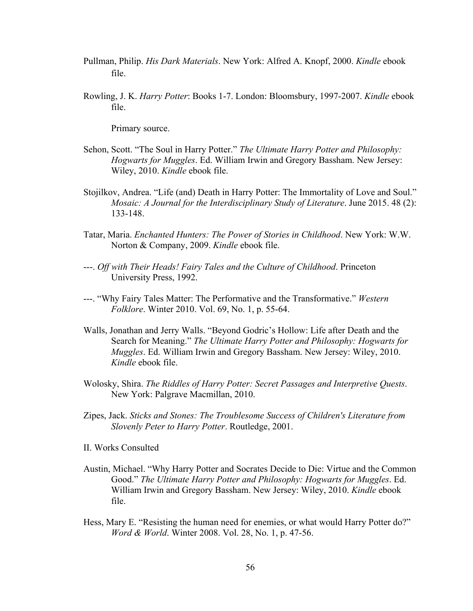- Pullman, Philip. *His Dark Materials*. New York: Alfred A. Knopf, 2000. *Kindle* ebook file.
- Rowling, J. K. *Harry Potter*: Books 1-7. London: Bloomsbury, 1997-2007. *Kindle* ebook file.

Primary source.

- Sehon, Scott. "The Soul in Harry Potter." *The Ultimate Harry Potter and Philosophy: Hogwarts for Muggles*. Ed. William Irwin and Gregory Bassham. New Jersey: Wiley, 2010. *Kindle* ebook file.
- Stojilkov, Andrea. "Life (and) Death in Harry Potter: The Immortality of Love and Soul." *Mosaic: A Journal for the Interdisciplinary Study of Literature*. June 2015. 48 (2): 133-148.
- Tatar, Maria. *Enchanted Hunters: The Power of Stories in Childhood*. New York: W.W. Norton & Company, 2009. *Kindle* ebook file.
- ---. *Off with Their Heads! Fairy Tales and the Culture of Childhood*. Princeton University Press, 1992.
- ---. "Why Fairy Tales Matter: The Performative and the Transformative." *Western Folklore*. Winter 2010. Vol. 69, No. 1, p. 55-64.
- Walls, Jonathan and Jerry Walls. "Beyond Godric's Hollow: Life after Death and the Search for Meaning." *The Ultimate Harry Potter and Philosophy: Hogwarts for Muggles*. Ed. William Irwin and Gregory Bassham. New Jersey: Wiley, 2010. *Kindle* ebook file.
- Wolosky, Shira. *The Riddles of Harry Potter: Secret Passages and Interpretive Quests*. New York: Palgrave Macmillan, 2010.
- Zipes, Jack. *Sticks and Stones: The Troublesome Success of Children's Literature from Slovenly Peter to Harry Potter*. Routledge, 2001.
- II. Works Consulted
- Austin, Michael. "Why Harry Potter and Socrates Decide to Die: Virtue and the Common Good." *The Ultimate Harry Potter and Philosophy: Hogwarts for Muggles*. Ed. William Irwin and Gregory Bassham. New Jersey: Wiley, 2010. *Kindle* ebook file.
- Hess, Mary E. "Resisting the human need for enemies, or what would Harry Potter do?" *Word & World*. Winter 2008. Vol. 28, No. 1, p. 47-56.